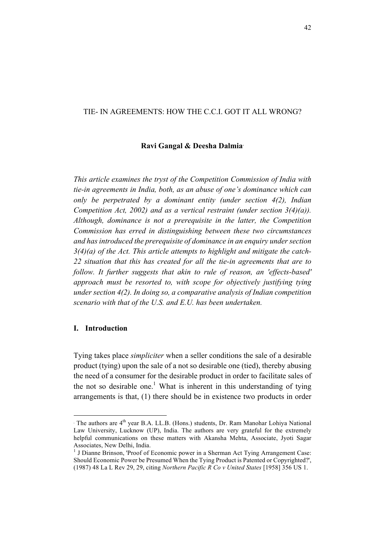# TIE- IN AGREEMENTS: HOW THE C.C.I. GOT IT ALL WRONG?

#### **Ravi Gangal & Deesha Dalmia**<sup>∗</sup>

*This article examines the tryst of the Competition Commission of India with tie-in agreements in India, both, as an abuse of one's dominance which can only be perpetrated by a dominant entity (under section 4(2), Indian Competition Act, 2002) and as a vertical restraint (under section 3(4)(a)). Although, dominance is not a prerequisite in the latter, the Competition Commission has erred in distinguishing between these two circumstances and has introduced the prerequisite of dominance in an enquiry under section 3(4)(a) of the Act. This article attempts to highlight and mitigate the catch-22 situation that this has created for all the tie-in agreements that are to follow. It further suggests that akin to rule of reason, an 'effects-based' approach must be resorted to, with scope for objectively justifying tying under section 4(2). In doing so, a comparative analysis of Indian competition scenario with that of the U.S. and E.U. has been undertaken.*

### **I. Introduction**

l

Tying takes place *simpliciter* when a seller conditions the sale of a desirable product (tying) upon the sale of a not so desirable one (tied), thereby abusing the need of a consumer for the desirable product in order to facilitate sales of the not so desirable one.<sup>1</sup> What is inherent in this understanding of tying arrangements is that, (1) there should be in existence two products in order

<sup>∗</sup> The authors are 4th year B.A. LL.B. (Hons.) students, Dr. Ram Manohar Lohiya National Law University, Lucknow (UP), India. The authors are very grateful for the extremely helpful communications on these matters with Akansha Mehta, Associate, Jyoti Sagar Associates, New Delhi, India.

<sup>&</sup>lt;sup>1</sup> J Dianne Brinson, 'Proof of Economic power in a Sherman Act Tying Arrangement Case: Should Economic Power be Presumed When the Tying Product is Patented or Copyrighted?', (1987) 48 La L Rev 29, 29, citing *Northern Pacific R Co v United States* [1958] 356 US 1.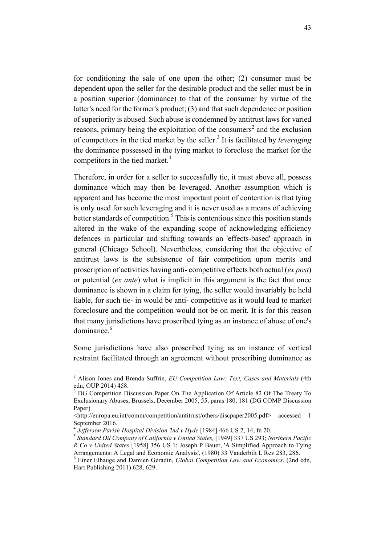for conditioning the sale of one upon the other; (2) consumer must be dependent upon the seller for the desirable product and the seller must be in a position superior (dominance) to that of the consumer by virtue of the latter's need for the former's product; (3) and that such dependence or position of superiority is abused. Such abuse is condemned by antitrust laws for varied reasons, primary being the exploitation of the consumers<sup>2</sup> and the exclusion of competitors in the tied market by the seller.<sup>3</sup> It is facilitated by *leveraging* the dominance possessed in the tying market to foreclose the market for the competitors in the tied market.<sup>4</sup>

Therefore, in order for a seller to successfully tie, it must above all, possess dominance which may then be leveraged. Another assumption which is apparent and has become the most important point of contention is that tying is only used for such leveraging and it is never used as a means of achieving better standards of competition.<sup>5</sup> This is contentious since this position stands altered in the wake of the expanding scope of acknowledging efficiency defences in particular and shifting towards an 'effects-based' approach in general (Chicago School). Nevertheless, considering that the objective of antitrust laws is the subsistence of fair competition upon merits and proscription of activities having anti- competitive effects both actual (*ex post*) or potential (*ex ante*) what is implicit in this argument is the fact that once dominance is shown in a claim for tying, the seller would invariably be held liable, for such tie- in would be anti- competitive as it would lead to market foreclosure and the competition would not be on merit. It is for this reason that many jurisdictions have proscribed tying as an instance of abuse of one's dominance  $6$ 

Some jurisdictions have also proscribed tying as an instance of vertical restraint facilitated through an agreement without prescribing dominance as

 <sup>2</sup> Alison Jones and Brenda Suffrin, *EU Competition Law: Text, Cases and Materials* (4th edn, OUP 2014) 458.

<sup>&</sup>lt;sup>3</sup> DG Competition Discussion Paper On The Application Of Article 82 Of The Treaty To Exclusionary Abuses, Brussels, December 2005, 55, paras 180, 181 (DG COMP Discussion Paper)

<sup>&</sup>lt;http://europa.eu.int/comm/competition/antitrust/others/discpaper2005.pdf> accessed 1 September 2016.<br><sup>4</sup> Jefferson Parish Hospital Division 2nd v Hyde [1984] 466 US 2, 14, fn 20.

<sup>&</sup>lt;sup>5</sup> Standard Oil Company of California v United States, [1949] 337 US 293; Northern Pacific *R Co v United States* [1958] 356 US 1; Joseph P Bauer, 'A Simplified Approach to Tying Arrangements: A Legal and Economic Analysis', (1980) 33 Vanderbilt L Rev 283, 286.

<sup>6</sup> Einer Elhauge and Damien Geradin, *Global Competition Law and Economics*, (2nd edn, Hart Publishing 2011) 628, 629.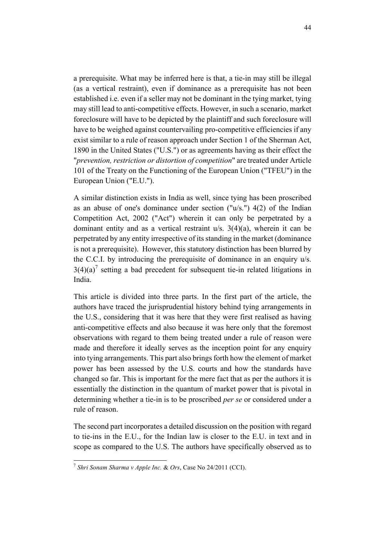a prerequisite. What may be inferred here is that, a tie-in may still be illegal (as a vertical restraint), even if dominance as a prerequisite has not been established i.e. even if a seller may not be dominant in the tying market, tying may still lead to anti-competitive effects. However, in such a scenario, market foreclosure will have to be depicted by the plaintiff and such foreclosure will have to be weighed against countervailing pro-competitive efficiencies if any exist similar to a rule of reason approach under Section 1 of the Sherman Act, 1890 in the United States ("U.S.") or as agreements having as their effect the "*prevention, restriction or distortion of competition*" are treated under Article 101 of the Treaty on the Functioning of the European Union ("TFEU") in the European Union ("E.U.").

A similar distinction exists in India as well, since tying has been proscribed as an abuse of one's dominance under section ("u/s.") 4(2) of the Indian Competition Act, 2002 ("Act") wherein it can only be perpetrated by a dominant entity and as a vertical restraint u/s. 3(4)(a), wherein it can be perpetrated by any entity irrespective of its standing in the market (dominance is not a prerequisite). However, this statutory distinction has been blurred by the C.C.I. by introducing the prerequisite of dominance in an enquiry u/s.  $3(4)(a)^7$  setting a bad precedent for subsequent tie-in related litigations in India.

This article is divided into three parts. In the first part of the article, the authors have traced the jurisprudential history behind tying arrangements in the U.S., considering that it was here that they were first realised as having anti-competitive effects and also because it was here only that the foremost observations with regard to them being treated under a rule of reason were made and therefore it ideally serves as the inception point for any enquiry into tying arrangements. This part also brings forth how the element of market power has been assessed by the U.S. courts and how the standards have changed so far. This is important for the mere fact that as per the authors it is essentially the distinction in the quantum of market power that is pivotal in determining whether a tie-in is to be proscribed *per se* or considered under a rule of reason.

The second part incorporates a detailed discussion on the position with regard to tie-ins in the E.U., for the Indian law is closer to the E.U. in text and in scope as compared to the U.S. The authors have specifically observed as to

 <sup>7</sup> *Shri Sonam Sharma v Apple Inc.* & *Ors*, Case No 24/2011 (CCI).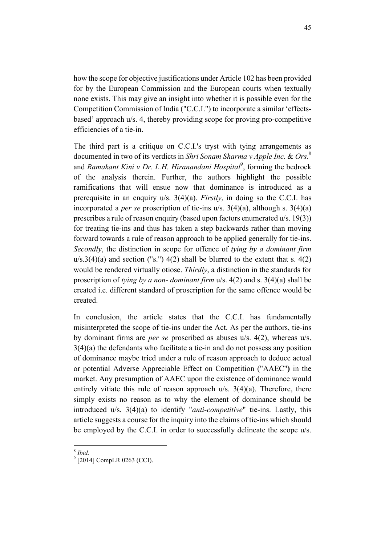how the scope for objective justifications under Article 102 has been provided for by the European Commission and the European courts when textually none exists. This may give an insight into whether it is possible even for the Competition Commission of India ("C.C.I.") to incorporate a similar 'effectsbased' approach u/s. 4, thereby providing scope for proving pro-competitive efficiencies of a tie-in.

The third part is a critique on C.C.I.'s tryst with tying arrangements as documented in two of its verdicts in *Shri Sonam Sharma v Apple Inc.* & *Ors.*<sup>8</sup> and *Ramakant Kini v Dr. L.H. Hiranandani Hospital<sup>9</sup>*, forming the bedrock of the analysis therein. Further, the authors highlight the possible ramifications that will ensue now that dominance is introduced as a prerequisite in an enquiry u/s. 3(4)(a). *Firstly*, in doing so the C.C.I. has incorporated a *per se* proscription of tie-ins u/s. 3(4)(a), although s. 3(4)(a) prescribes a rule of reason enquiry (based upon factors enumerated u/s. 19(3)) for treating tie-ins and thus has taken a step backwards rather than moving forward towards a rule of reason approach to be applied generally for tie-ins. *Secondly*, the distinction in scope for offence of *tying by a dominant firm*   $u/s.3(4)(a)$  and section ("s.")  $4(2)$  shall be blurred to the extent that s.  $4(2)$ would be rendered virtually otiose. *Thirdly*, a distinction in the standards for proscription of *tying by a non- dominant firm* u/s. 4(2) and s. 3(4)(a) shall be created i.e. different standard of proscription for the same offence would be created.

In conclusion, the article states that the C.C.I. has fundamentally misinterpreted the scope of tie-ins under the Act. As per the authors, tie-ins by dominant firms are *per se* proscribed as abuses u/s. 4(2), whereas u/s. 3(4)(a) the defendants who facilitate a tie-in and do not possess any position of dominance maybe tried under a rule of reason approach to deduce actual or potential Adverse Appreciable Effect on Competition ("AAEC"**)** in the market. Any presumption of AAEC upon the existence of dominance would entirely vitiate this rule of reason approach u/s. 3(4)(a). Therefore, there simply exists no reason as to why the element of dominance should be introduced u/s. 3(4)(a) to identify "*anti-competitive*" tie-ins. Lastly, this article suggests a course for the inquiry into the claims of tie-ins which should be employed by the C.C.I. in order to successfully delineate the scope u/s.

<sup>8</sup> *Ibid*. <sup>9</sup> [2014] CompLR 0263 (CCI).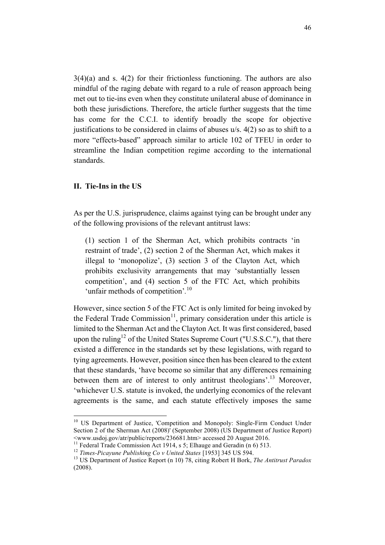$3(4)(a)$  and s.  $4(2)$  for their frictionless functioning. The authors are also mindful of the raging debate with regard to a rule of reason approach being met out to tie-ins even when they constitute unilateral abuse of dominance in both these jurisdictions. Therefore, the article further suggests that the time has come for the C.C.I. to identify broadly the scope for objective justifications to be considered in claims of abuses u/s. 4(2) so as to shift to a more "effects-based" approach similar to article 102 of TFEU in order to streamline the Indian competition regime according to the international standards.

### **II. Tie-Ins in the US**

As per the U.S. jurisprudence, claims against tying can be brought under any of the following provisions of the relevant antitrust laws:

(1) section 1 of the Sherman Act, which prohibits contracts 'in restraint of trade', (2) section 2 of the Sherman Act, which makes it illegal to 'monopolize', (3) section 3 of the Clayton Act, which prohibits exclusivity arrangements that may 'substantially lessen competition', and (4) section 5 of the FTC Act, which prohibits 'unfair methods of competition'*.* 10

However, since section 5 of the FTC Act is only limited for being invoked by the Federal Trade Commission<sup>11</sup>, primary consideration under this article is limited to the Sherman Act and the Clayton Act. It was first considered, based upon the ruling<sup>12</sup> of the United States Supreme Court ("U.S.S.C."), that there existed a difference in the standards set by these legislations, with regard to tying agreements. However, position since then has been cleared to the extent that these standards, 'have become so similar that any differences remaining between them are of interest to only antitrust theologians'.<sup>13</sup> Moreover, 'whichever U.S. statute is invoked, the underlying economics of the relevant agreements is the same, and each statute effectively imposes the same

<sup>&</sup>lt;sup>10</sup> US Department of Justice, 'Competition and Monopoly: Single-Firm Conduct Under Section 2 of the Sherman Act (2008)' (September 2008) (US Department of Justice Report) <www.usdoj.gov/atr/public/reports/236681.htm> accessed 20 August 2016.

<sup>&</sup>lt;sup>12</sup> Times-Picayune Publishing Co v United States [1953] 345 US 594.<br><sup>13</sup> US Department of Justice Report (n 10) 78, citing Robert H Bork, *The Antitrust Paradox* (2008).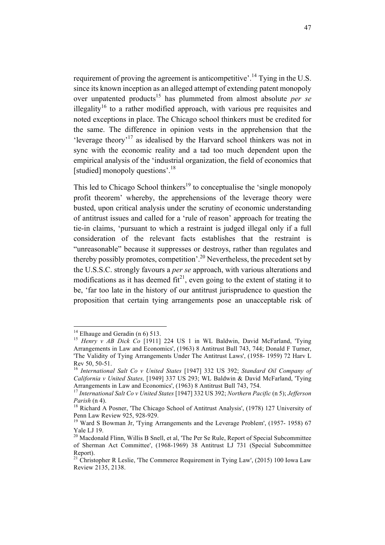requirement of proving the agreement is anticompetitive'.<sup>14</sup> Tying in the U.S. since its known inception as an alleged attempt of extending patent monopoly over unpatented products<sup>15</sup> has plummeted from almost absolute *per se* illegality<sup>16</sup> to a rather modified approach, with various pre requisites and noted exceptions in place. The Chicago school thinkers must be credited for the same. The difference in opinion vests in the apprehension that the 'leverage theory'<sup>17</sup> as idealised by the Harvard school thinkers was not in sync with the economic reality and a tad too much dependent upon the empirical analysis of the 'industrial organization, the field of economics that [studied] monopoly questions'.<sup>18</sup>

This led to Chicago School thinkers<sup>19</sup> to conceptualise the 'single monopoly profit theorem' whereby, the apprehensions of the leverage theory were busted, upon critical analysis under the scrutiny of economic understanding of antitrust issues and called for a 'rule of reason' approach for treating the tie-in claims, 'pursuant to which a restraint is judged illegal only if a full consideration of the relevant facts establishes that the restraint is "unreasonable" because it suppresses or destroys, rather than regulates and thereby possibly promotes, competition'.<sup>20</sup> Nevertheless, the precedent set by the U.S.S.C. strongly favours a *per se* approach, with various alterations and modifications as it has deemed  $fit^{21}$ , even going to the extent of stating it to be, 'far too late in the history of our antitrust jurisprudence to question the proposition that certain tying arrangements pose an unacceptable risk of

<sup>&</sup>lt;sup>14</sup> Elhauge and Geradin (n 6) 513.<br><sup>15</sup> *Henry v AB Dick Co* [1911] 224 US 1 in WL Baldwin, David McFarland, 'Tying Arrangements in Law and Economics', (1963) 8 Antitrust Bull 743, 744; Donald F Turner, 'The Validity of Tying Arrangements Under The Antitrust Laws', (1958- 1959) 72 Harv L Rev 50, 50-51. <sup>16</sup> *International Salt Co v United States* [1947] 332 US 392; *Standard Oil Company of* 

*California v United States,* [1949] 337 US 293; WL Baldwin & David McFarland, 'Tying Arrangements in Law and Economics', (1963) 8 Antitrust Bull 743, 754.

<sup>17</sup> *International Salt Co v United States* [1947] 332 US 392; *Northern Pacific* (n 5); *Jefferson Parish* (n 4).<br><sup>18</sup> Richard A Posner, 'The Chicago School of Antitrust Analysis', (1978) 127 University of

Penn Law Review 925, 928-929.<br><sup>19</sup> Ward S Bowman Jr, 'Tying Arrangements and the Leverage Problem', (1957- 1958) 67

Yale LJ 19.

<sup>&</sup>lt;sup>20</sup> Macdonald Flinn, Willis B Snell, et al, 'The Per Se Rule, Report of Special Subcommittee of Sherman Act Committee', (1968-1969) 38 Antitrust LJ 731 (Special Subcommittee Report).

<sup>&</sup>lt;sup>21</sup> Christopher R Leslie, 'The Commerce Requirement in Tying Law', (2015) 100 Iowa Law Review 2135, 2138.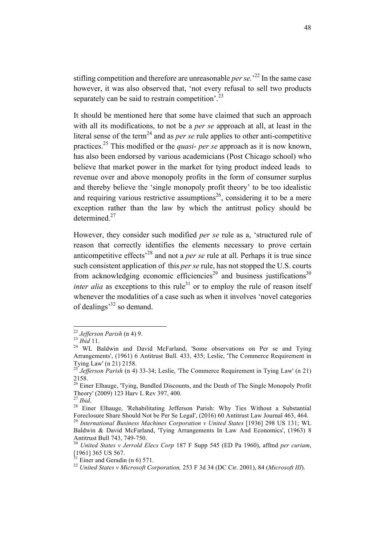stifling competition and therefore are unreasonable *per se.*' <sup>22</sup> In the same case however, it was also observed that, 'not every refusal to sell two products separately can be said to restrain competition'.<sup>23</sup>

It should be mentioned here that some have claimed that such an approach with all its modifications, to not be a *per se* approach at all, at least in the literal sense of the term<sup>24</sup> and as *per se* rule applies to other anti-competitive practices.25 This modified or the *quasi- per se* approach as it is now known, has also been endorsed by various academicians (Post Chicago school) who believe that market power in the market for tying product indeed leads to revenue over and above monopoly profits in the form of consumer surplus and thereby believe the 'single monopoly profit theory' to be too idealistic and requiring various restrictive assumptions<sup>26</sup>, considering it to be a mere exception rather than the law by which the antitrust policy should be determined $^{27}$ 

However, they consider such modified *per se* rule as a, 'structured rule of reason that correctly identifies the elements necessary to prove certain anticompetitive effects'<sup>28</sup> and not a *per se* rule at all. Perhaps it is true since such consistent application of this *per se* rule, has not stopped the U.S. courts from acknowledging economic efficiencies<sup>29</sup> and business justifications<sup>30</sup> *inter alia* as exceptions to this rule<sup>31</sup> or to employ the rule of reason itself whenever the modalities of a case such as when it involves 'novel categories of dealings<sup>32</sup> so demand.

<sup>&</sup>lt;sup>22</sup> *Jefferson Parish* (n 4) 9.<br><sup>23</sup> *Ibid* 11.<br><sup>24</sup> WL Baldwin and David McFarland, 'Some observations on Per se and Tying Arrangements', (1961) 6 Antitrust Bull. 433, 435; Leslie, 'The Commerce Requirement in Tying Law' (n 21) 2158.

Jefferson Parish (n 4) 33-34; Leslie, 'The Commerce Requirement in Tying Law' (n 21) 2158.

<sup>&</sup>lt;sup>26</sup> Einer Elhauge, 'Tying, Bundled Discounts, and the Death of The Single Monopoly Profit Theory' (2009) 123 Harv L Rev 397, 400.<br><sup>27</sup> Ibid.

<sup>&</sup>lt;sup>28</sup> Einer Elhauge, 'Rehabilitating Jefferson Parish: Why Ties Without a Substantial Foreclosure Share Should Not be Per Se LegaI', (2016) 60 Antitrust Law Journal 463, 464. <sup>29</sup> International Business Machines Corporation v United States [1936] 298 US 131; WL Baldwin & David McFarland, 'Tying Arrangements In Law And Economics', (1963) 8

Antitrust Bull 743, 749-750. <sup>30</sup> *United States v Jerrold Elecs Corp* 187 F Supp 545 (ED Pa 1960), affmd *per curiam*, [1961] 365 US 567.<br> $31$  Einer and Geradin (n 6) 571.

<sup>31</sup> Einer and Geradin (n 6) 571. <sup>32</sup> *United States v Microsoft Corporation,* 253 F 3d 34 (DC Cir. 2001), 84 (*Microsoft III*).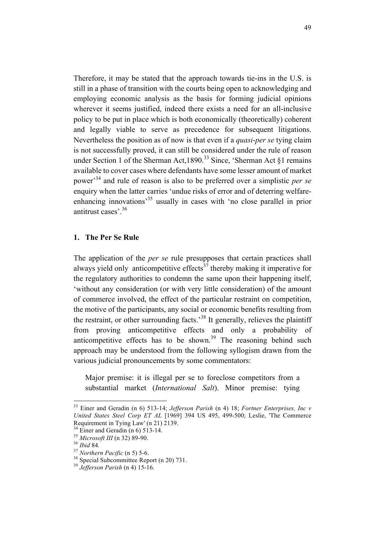Therefore, it may be stated that the approach towards tie-ins in the U.S. is still in a phase of transition with the courts being open to acknowledging and employing economic analysis as the basis for forming judicial opinions wherever it seems justified, indeed there exists a need for an all-inclusive policy to be put in place which is both economically (theoretically) coherent and legally viable to serve as precedence for subsequent litigations. Nevertheless the position as of now is that even if a *quasi*-*per se* tying claim is not successfully proved, it can still be considered under the rule of reason under Section 1 of the Sherman Act,  $1890.<sup>33</sup>$  Since, 'Sherman Act §1 remains available to cover cases where defendants have some lesser amount of market power'<sup>34</sup> and rule of reason is also to be preferred over a simplistic *per se* enquiry when the latter carries 'undue risks of error and of deterring welfareenhancing innovations<sup>35</sup> usually in cases with 'no close parallel in prior antitrust cases'.36

## **1. The Per Se Rule**

The application of the *per se* rule presupposes that certain practices shall always yield only anticompetitive effects<sup>37</sup> thereby making it imperative for the regulatory authorities to condemn the same upon their happening itself, 'without any consideration (or with very little consideration) of the amount of commerce involved, the effect of the particular restraint on competition, the motive of the participants, any social or economic benefits resulting from the restraint, or other surrounding facts.'<sup>38</sup> It generally, relieves the plaintiff from proving anticompetitive effects and only a probability of anticompetitive effects has to be shown.<sup>39</sup> The reasoning behind such approach may be understood from the following syllogism drawn from the various judicial pronouncements by some commentators:

Major premise: it is illegal per se to foreclose competitors from a substantial market (*International Salt*). Minor premise: tying

 <sup>33</sup> Einer and Geradin (n 6) 513-14; *Jefferson Parish* (n 4) 18; *Fortner Enterprises, Inc v United States Steel Corp ET AL* [1969] 394 US 495, 499-500; Leslie, 'The Commerce Requirement in Tying Law' (n 21) 2139.<br>
<sup>34</sup> Einer and Geradin (n 6) 513-14.<br>
<sup>35</sup> Microsoft III (n 32) 89-90.<br>
<sup>36</sup> Ibid 84.<br>
<sup>37</sup> Northern Pacific (n 5) 5-6.<br>
<sup>38</sup> Special Subcommittee Report (n 20) 731.<br>
<sup>39</sup> Jefferson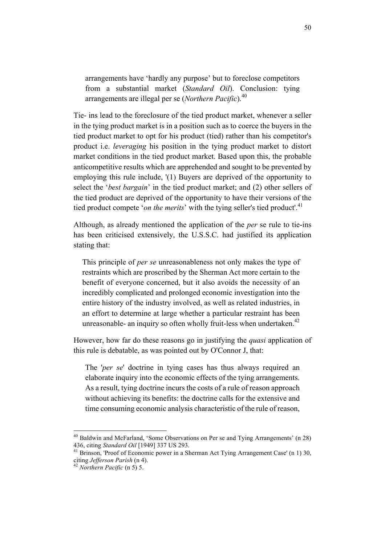arrangements have 'hardly any purpose' but to foreclose competitors from a substantial market (*Standard Oil*). Conclusion: tying arrangements are illegal per se (*Northern Pacific*).<sup>40</sup>

Tie- ins lead to the foreclosure of the tied product market, whenever a seller in the tying product market is in a position such as to coerce the buyers in the tied product market to opt for his product (tied) rather than his competitor's product i.e. *leveraging* his position in the tying product market to distort market conditions in the tied product market. Based upon this, the probable anticompetitive results which are apprehended and sought to be prevented by employing this rule include, '(1) Buyers are deprived of the opportunity to select the '*best bargain*' in the tied product market; and (2) other sellers of the tied product are deprived of the opportunity to have their versions of the tied product compete '*on the merits*' with the tying seller's tied product'.<sup>41</sup>

Although, as already mentioned the application of the *per* se rule to tie-ins has been criticised extensively, the U.S.S.C. had justified its application stating that:

This principle of *per se* unreasonableness not only makes the type of restraints which are proscribed by the Sherman Act more certain to the benefit of everyone concerned, but it also avoids the necessity of an incredibly complicated and prolonged economic investigation into the entire history of the industry involved, as well as related industries, in an effort to determine at large whether a particular restraint has been unreasonable- an inquiry so often wholly fruit-less when undertaken.<sup>42</sup>

However, how far do these reasons go in justifying the *quasi* application of this rule is debatable, as was pointed out by O'Connor J, that:

The '*per se*' doctrine in tying cases has thus always required an elaborate inquiry into the economic effects of the tying arrangements. As a result, tying doctrine incurs the costs of a rule of reason approach without achieving its benefits: the doctrine calls for the extensive and time consuming economic analysis characteristic of the rule of reason,

<sup>&</sup>lt;sup>40</sup> Baldwin and McFarland, 'Some Observations on Per se and Tying Arrangements' (n 28) 436, citing *Standard Oil* [1949] 337 US 293.

<sup>436,</sup> citing *Standard Oil* [1949] 337 US 293. <sup>41</sup> Brinson, 'Proof of Economic power in a Sherman Act Tying Arrangement Case' (n 1) 30, citing *Jefferson Parish* (n 4). 42 *Northern Pacific* (n 5) 5.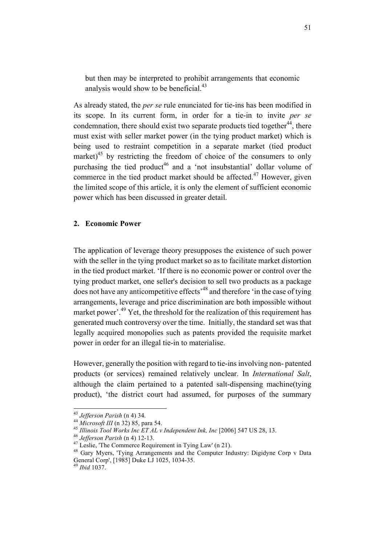but then may be interpreted to prohibit arrangements that economic analysis would show to be beneficial.<sup>43</sup>

As already stated, the *per se* rule enunciated for tie-ins has been modified in its scope. In its current form, in order for a tie-in to invite *per se*  condemnation, there should exist two separate products tied together<sup>44</sup>, there must exist with seller market power (in the tying product market) which is being used to restraint competition in a separate market (tied product market) $45$  by restricting the freedom of choice of the consumers to only purchasing the tied product<sup>46</sup> and a 'not insubstantial' dollar volume of commerce in the tied product market should be affected.<sup>47</sup> However, given the limited scope of this article, it is only the element of sufficient economic power which has been discussed in greater detail.

### **2. Economic Power**

The application of leverage theory presupposes the existence of such power with the seller in the tying product market so as to facilitate market distortion in the tied product market. 'If there is no economic power or control over the tying product market, one seller's decision to sell two products as a package does not have any anticompetitive effects'<sup>48</sup> and therefore 'in the case of tying arrangements, leverage and price discrimination are both impossible without market power<sup>'.49</sup> Yet, the threshold for the realization of this requirement has generated much controversy over the time. Initially, the standard set was that legally acquired monopolies such as patents provided the requisite market power in order for an illegal tie-in to materialise.

However, generally the position with regard to tie-ins involving non- patented products (or services) remained relatively unclear. In *International Salt*, although the claim pertained to a patented salt-dispensing machine(tying product), 'the district court had assumed, for purposes of the summary

51

<sup>&</sup>lt;sup>43</sup> *Jefferson Parish* (n 4) 34.<br><sup>44</sup> *Microsoft III* (n 32) 85, para 54.<br><sup>45</sup> *Illinois Tool Works Inc ET AL v Independent Ink, Inc* [2006] 547 US 28, 13.<br><sup>45</sup> *Jefferson Parish* (n 4) 12-13.<br><sup>47</sup> Leslie, 'The Commerce General Corp', [1985] Duke LJ 1025, 1034-35. <sup>49</sup> *Ibid* 1037.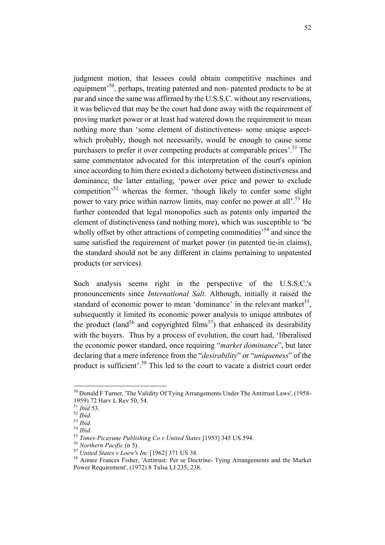judgment motion, that lessees could obtain competitive machines and equipment<sup>50</sup>, perhaps, treating patented and non- patented products to be at par and since the same was affirmed by the U.S.S.C. without any reservations, it was believed that may be the court had done away with the requirement of proving market power or at least had watered down the requirement to mean nothing more than 'some element of distinctiveness- some unique aspectwhich probably, though not necessarily, would be enough to cause some purchasers to prefer it over competing products at comparable prices'.<sup>51</sup> The same commentator advocated for this interpretation of the court's opinion since according to him there existed a dichotomy between distinctiveness and dominance, the latter entailing, 'power over price and power to exclude competition'52 whereas the former, 'though likely to confer some slight power to vary price within narrow limits, may confer no power at all'.<sup>53</sup> He further contended that legal monopolies such as patents only imparted the element of distinctiveness (and nothing more), which was susceptible to 'be wholly offset by other attractions of competing commodities<sup>54</sup> and since the same satisfied the requirement of market power (in patented tie-in claims), the standard should not be any different in claims pertaining to unpatented products (or services).

Such analysis seems right in the perspective of the U.S.S.C.'s pronouncements since *International Salt*. Although, initially it raised the standard of economic power to mean 'dominance' in the relevant market<sup>55</sup>, subsequently it limited its economic power analysis to unique attributes of the product (land<sup>56</sup> and copyrighted films<sup>57</sup>) that enhanced its desirability with the buyers. Thus by a process of evolution, the court had, 'liberalised the economic power standard, once requiring "*market dominance*", but later declaring that a mere inference from the "*desirability*" or "*uniqueness*" of the product is sufficient'.<sup>58</sup> This led to the court to vacate a district court order

 $50$  Donald F Turner, 'The Validity Of Tying Arrangements Under The Antitrust Laws', (1958-1959) 72 Harv L Rev 50, 54.

<sup>&</sup>lt;sup>51</sup> Ibid 53.<br>
<sup>52</sup> Ibid.<br>
<sup>53</sup> Ibid.<br>
<sup>53</sup> Ibid.<br>
<sup>55</sup> Times-Picayune Publishing Co v United States [1953] 345 US 594.<br>
<sup>56</sup> Northern Pacific (n 5).<br>
<sup>57</sup> United States v Loew's Inc [1962] 371 US 38.<br>
<sup>58</sup> Aimee Frances Power Requirement', (1972) 8 Tulsa LJ 235, 238.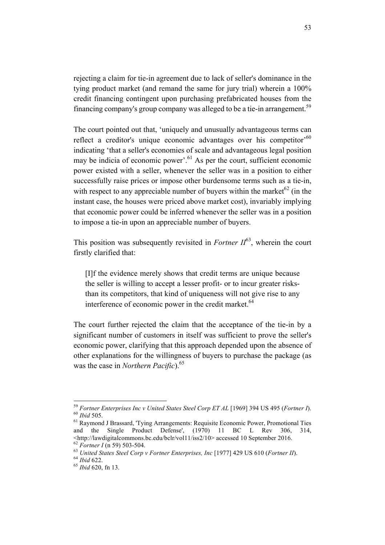rejecting a claim for tie-in agreement due to lack of seller's dominance in the tying product market (and remand the same for jury trial) wherein a 100% credit financing contingent upon purchasing prefabricated houses from the financing company's group company was alleged to be a tie-in arrangement.<sup>59</sup>

The court pointed out that, 'uniquely and unusually advantageous terms can reflect a creditor's unique economic advantages over his competitor<sup>560</sup> indicating 'that a seller's economies of scale and advantageous legal position may be indicia of economic power'.<sup>61</sup> As per the court, sufficient economic power existed with a seller, whenever the seller was in a position to either successfully raise prices or impose other burdensome terms such as a tie-in, with respect to any appreciable number of buyers within the market  $62$  (in the instant case, the houses were priced above market cost), invariably implying that economic power could be inferred whenever the seller was in a position to impose a tie-in upon an appreciable number of buyers.

This position was subsequently revisited in *Fortner*  $II^{63}$ , wherein the court firstly clarified that:

[I]f the evidence merely shows that credit terms are unique because the seller is willing to accept a lesser profit- or to incur greater risksthan its competitors, that kind of uniqueness will not give rise to any interference of economic power in the credit market.<sup>64</sup>

The court further rejected the claim that the acceptance of the tie-in by a significant number of customers in itself was sufficient to prove the seller's economic power, clarifying that this approach depended upon the absence of other explanations for the willingness of buyers to purchase the package (as was the case in *Northern Pacific*).<sup>65</sup>

<sup>&</sup>lt;sup>59</sup> *Fortner Enterprises Inc v United States Steel Corp ET AL* [1969] 394 US 495 (*Fortner I*).<br><sup>60</sup> *Ibid* 505. <sup>61</sup> Raymond J Brassard, 'Tying Arrangements: Requisite Economic Power, Promotional Ties

and the Single Product Defense', (1970) 11 BC L Rev 306, 314,  $\frac{\text{th}}{2}$  /http://lawdigitalcommons.bc.edu/bclr/vol11/iss2/10> accessed 10 September 2016.<br><sup>62</sup> Fortner I (n 59) 503-504.

<sup>62</sup> *Fortner I* (n 59) 503-504. <sup>63</sup> *United States Steel Corp v Fortner Enterprises, Inc* [1977] 429 US 610 (*Fortner II*). <sup>64</sup> *Ibid* 622. <sup>65</sup> *Ibid* 620, fn 13.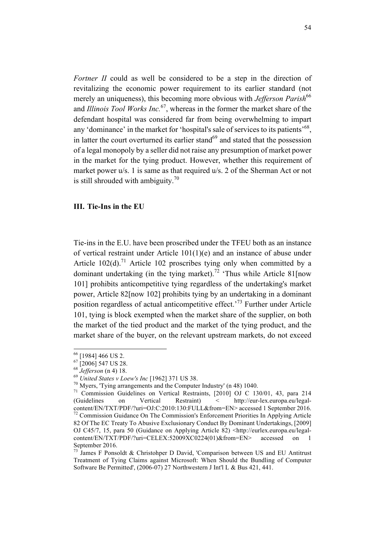*Fortner II* could as well be considered to be a step in the direction of revitalizing the economic power requirement to its earlier standard (not merely an uniqueness), this becoming more obvious with *Jefferson Parish*<sup>66</sup> and *Illinois Tool Works Inc.*67, whereas in the former the market share of the defendant hospital was considered far from being overwhelming to impart any 'dominance' in the market for 'hospital's sale of services to its patients'<sup>68</sup>. in latter the court overturned its earlier stand $^{69}$  and stated that the possession of a legal monopoly by a seller did not raise any presumption of market power in the market for the tying product. However, whether this requirement of market power u/s. 1 is same as that required u/s. 2 of the Sherman Act or not is still shrouded with ambiguity.<sup>70</sup>

### **III. Tie-Ins in the EU**

Tie-ins in the E.U. have been proscribed under the TFEU both as an instance of vertical restraint under Article 101(1)(e) and an instance of abuse under Article  $102(d)$ .<sup>71</sup> Article 102 proscribes tying only when committed by a dominant undertaking (in the tying market).<sup>72</sup> 'Thus while Article 81[now 101] prohibits anticompetitive tying regardless of the undertaking's market power, Article 82[now 102] prohibits tying by an undertaking in a dominant position regardless of actual anticompetitive effect.<sup> $73$ </sup> Further under Article 101, tying is block exempted when the market share of the supplier, on both the market of the tied product and the market of the tying product, and the market share of the buyer, on the relevant upstream markets, do not exceed

<sup>&</sup>lt;sup>66</sup> [1984] 466 US 2.<br>
<sup>67</sup> [2006] 547 US 28.<br>
<sup>68</sup> *Jefferson* (n 4) 18.<br>
<sup>69</sup> *United States v Loew's Inc* [1962] 371 US 38.<br>
<sup>70</sup> Myers, 'Tying arrangements and the Computer Industry' (n 48) 1040.<br>
<sup>71</sup> Commission Guid (Guidelines on Vertical Restraint) < http://eur-lex.europa.eu/legalcontent/EN/TXT/PDF/?uri=OJ:C:2010:130:FULL&from=EN> accessed 1 September 2016. <sup>72</sup> Commission Guidance On The Commission's Enforcement Priorities In Applying Article 82 Of The EC Treaty To Abusive Exclusionary Conduct By Dominant Undertakings, [2009] OJ C45/7, 15, para 50 (Guidance on Applying Article 82) <http://eurlex.europa.eu/legalcontent/EN/TXT/PDF/?uri=CELEX:52009XC0224(01)&from=EN> accessed on 1 September 2016.

James F Ponsoldt & Christohper D David, 'Comparison between US and EU Antitrust Treatment of Tying Claims against Microsoft: When Should the Bundling of Computer Software Be Permitted', (2006-07) 27 Northwestern J Int'l L & Bus 421, 441.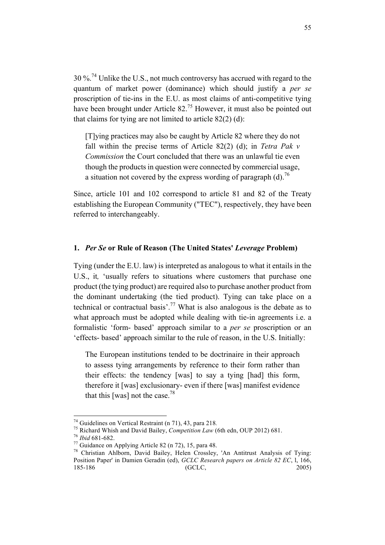$30\%$ <sup>74</sup> Unlike the U.S., not much controversy has accrued with regard to the quantum of market power (dominance) which should justify a *per se*  proscription of tie-ins in the E.U. as most claims of anti-competitive tying have been brought under Article 82.<sup>75</sup> However, it must also be pointed out that claims for tying are not limited to article  $82(2)$  (d):

[T]ying practices may also be caught by Article 82 where they do not fall within the precise terms of Article 82(2) (d); in *Tetra Pak v Commission* the Court concluded that there was an unlawful tie even though the products in question were connected by commercial usage, a situation not covered by the express wording of paragraph (d).<sup>76</sup>

Since, article 101 and 102 correspond to article 81 and 82 of the Treaty establishing the European Community ("TEC"), respectively, they have been referred to interchangeably.

### **1.** *Per Se* **or Rule of Reason (The United States'** *Leverage* **Problem)**

Tying (under the E.U. law) is interpreted as analogous to what it entails in the U.S., it*,* 'usually refers to situations where customers that purchase one product (the tying product) are required also to purchase another product from the dominant undertaking (the tied product). Tying can take place on a technical or contractual basis'.<sup>77</sup> What is also analogous is the debate as to what approach must be adopted while dealing with tie-in agreements i.e. a formalistic 'form- based' approach similar to a *per se* proscription or an 'effects- based' approach similar to the rule of reason, in the U.S. Initially:

The European institutions tended to be doctrinaire in their approach to assess tying arrangements by reference to their form rather than their effects: the tendency [was] to say a tying [had] this form, therefore it [was] exclusionary- even if there [was] manifest evidence that this [was] not the case.78

<sup>&</sup>lt;sup>74</sup> Guidelines on Vertical Restraint (n 71), 43, para 218.<br>
<sup>75</sup> Richard Whish and David Bailey, *Competition Law* (6th edn, OUP 2012) 681.<br>
<sup>76</sup> *Ibid* 681-682.<br>
<sup>77</sup> Guidance on Applying Article 82 (n 72), 15, para 48. Position Paper' in Damien Geradin (ed), *GCLC Research papers on Article 82 EC*, l, 166, 185-186 (GCLC, 2005)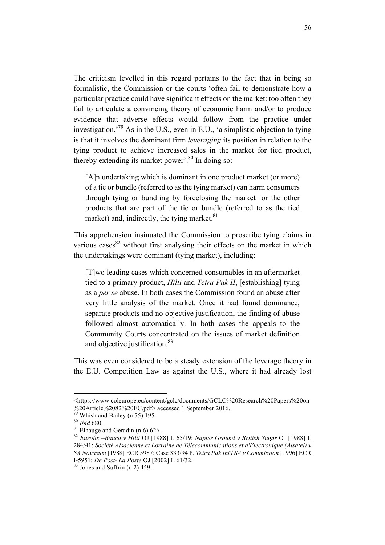The criticism levelled in this regard pertains to the fact that in being so formalistic, the Commission or the courts 'often fail to demonstrate how a particular practice could have significant effects on the market: too often they fail to articulate a convincing theory of economic harm and/or to produce evidence that adverse effects would follow from the practice under investigation.<sup>79</sup> As in the U.S., even in E.U., 'a simplistic objection to tying is that it involves the dominant firm *leveraging* its position in relation to the tying product to achieve increased sales in the market for tied product, thereby extending its market power'.<sup>80</sup> In doing so:

[A]n undertaking which is dominant in one product market (or more) of a tie or bundle (referred to as the tying market) can harm consumers through tying or bundling by foreclosing the market for the other products that are part of the tie or bundle (referred to as the tied market) and, indirectly, the tying market. $81$ 

This apprehension insinuated the Commission to proscribe tying claims in various cases  $82$  without first analysing their effects on the market in which the undertakings were dominant (tying market), including:

[T]wo leading cases which concerned consumables in an aftermarket tied to a primary product, *Hilti* and *Tetra Pak II*, [establishing] tying as a *per se* abuse. In both cases the Commission found an abuse after very little analysis of the market. Once it had found dominance, separate products and no objective justification, the finding of abuse followed almost automatically. In both cases the appeals to the Community Courts concentrated on the issues of market definition and objective justification.<sup>83</sup>

This was even considered to be a steady extension of the leverage theory in the E.U. Competition Law as against the U.S., where it had already lost

 $\overline{a}$ 

<sup>&</sup>lt;https://www.coleurope.eu/content/gclc/documents/GCLC%20Research%20Papers%20on %20Article%2082%20EC.pdf> accessed 1 September 2016.

<sup>79</sup> Whish and Bailey (n 75) 195. <sup>80</sup> *Ibid* 680. <sup>81</sup> Elhauge and Geradin (n 6) 626*.* <sup>82</sup> *Eurofix –Bauco v Hilti* OJ [1988] L 65/19; *Napier Ground v British Sugar* OJ [1988] L 284/41; *Société Alsacienne et Lorraine de Télécommunications et d'Electronique (Alsatel) v SA Novasum* [1988] ECR 5987; Case 333/94 P, *Tetra Pak Int'l SA v Commission* [1996] ECR I-5951; *De Post- La Poste* OJ [2002] L 61/32. 83 Jones and Suffrin (n 2) 459.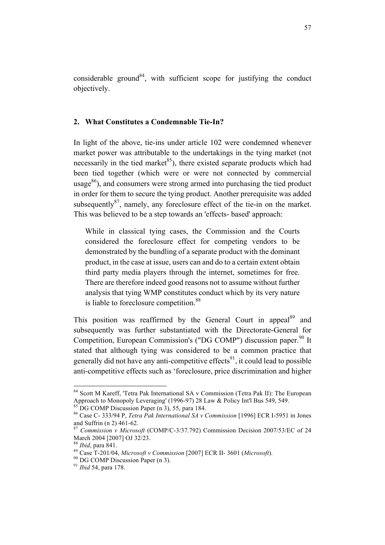considerable ground<sup>84</sup>, with sufficient scope for justifying the conduct objectively.

### **2. What Constitutes a Condemnable Tie-In?**

In light of the above, tie-ins under article 102 were condemned whenever market power was attributable to the undertakings in the tying market (not necessarily in the tied market<sup>85</sup>), there existed separate products which had been tied together (which were or were not connected by commercial usage $^{86}$ ), and consumers were strong armed into purchasing the tied product in order for them to secure the tying product. Another prerequisite was added subsequently $87$ , namely, any foreclosure effect of the tie-in on the market. This was believed to be a step towards an 'effects- based' approach:

While in classical tying cases, the Commission and the Courts considered the foreclosure effect for competing vendors to be demonstrated by the bundling of a separate product with the dominant product, in the case at issue, users can and do to a certain extent obtain third party media players through the internet, sometimes for free. There are therefore indeed good reasons not to assume without further analysis that tying WMP constitutes conduct which by its very nature is liable to foreclosure competition.<sup>88</sup>

This position was reaffirmed by the General Court in appeal<sup>89</sup> and subsequently was further substantiated with the Directorate-General for Competition, European Commission's ("DG COMP") discussion paper.<sup>90</sup> It stated that although tying was considered to be a common practice that generally did not have any anti-competitive effects<sup>91</sup>, it could lead to possible anti-competitive effects such as 'foreclosure, price discrimination and higher

<sup>&</sup>lt;sup>84</sup> Scott M Kareff, 'Tetra Pak International SA v Commission (Tetra Pak II): The European Approach to Monopoly Leveraging' (1996-97) 28 Law & Policy Int'l Bus 549, 549.

<sup>&</sup>lt;sup>85</sup> DG COMP Discussion Paper (n 3), 55, para 184.<br><sup>86</sup> Case C- 333/94 P, *Tetra Pak International SA v Commission* [1996] ECR I-5951 in Jones and Suffrin (n 2) 461-62.

<sup>&</sup>lt;sup>87</sup> *Commission v Microsoft* (COMP/C-3/37.792) Commission Decision 2007/53/EC of 24 March 2004 [2007] OJ 32/23.

<sup>88</sup> *Ibid*, para 841. <sup>89</sup> Case T-201/04, *Microsoft v Commission* [2007] ECR II- 3601 (*Microsoft*). <sup>90</sup> DG COMP Discussion Paper (n 3). <sup>91</sup> *Ibid* 54, para 178.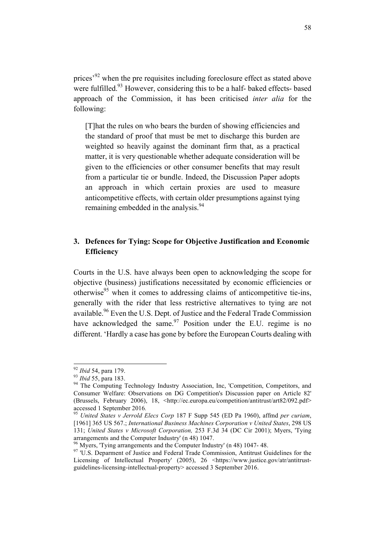prices'92 when the pre requisites including foreclosure effect as stated above were fulfilled.<sup>93</sup> However, considering this to be a half- baked effects- based approach of the Commission, it has been criticised *inter alia* for the following:

[T]hat the rules on who bears the burden of showing efficiencies and the standard of proof that must be met to discharge this burden are weighted so heavily against the dominant firm that, as a practical matter, it is very questionable whether adequate consideration will be given to the efficiencies or other consumer benefits that may result from a particular tie or bundle. Indeed, the Discussion Paper adopts an approach in which certain proxies are used to measure anticompetitive effects, with certain older presumptions against tying remaining embedded in the analysis.<sup>94</sup>

# **3. Defences for Tying: Scope for Objective Justification and Economic Efficiency**

Courts in the U.S. have always been open to acknowledging the scope for objective (business) justifications necessitated by economic efficiencies or otherwise<sup>95</sup> when it comes to addressing claims of anticompetitive tie-ins, generally with the rider that less restrictive alternatives to tying are not available.<sup>96</sup> Even the U.S. Dept. of Justice and the Federal Trade Commission have acknowledged the same. $97$  Position under the E.U. regime is no different. 'Hardly a case has gone by before the European Courts dealing with

<sup>&</sup>lt;sup>92</sup> *Ibid* 54, para 179.<br><sup>93</sup> *Ibid* 55, para 183.<br><sup>94</sup> The Computing Technology Industry Association, Inc, 'Competition, Competitors, and Consumer Welfare: Observations on DG Competition's Discussion paper on Article 82' (Brussels, February 2006), 18, <http://ec.europa.eu/competition/antitrust/art82/092.pdf>

<sup>&</sup>lt;sup>95</sup> *United States v Jerrold Elecs Corp* 187 F Supp 545 (ED Pa 1960), affmd *per curiam*, [1961] 365 US 567.; *International Business Machines Corporation v United States*, 298 US 131; *United States v Microsoft Corporation,* 253 F.3d 34 (DC Cir 2001); Myers, 'Tying arrangements and the Computer Industry' (n 48) 1047.<br><sup>96</sup> Myers, 'Tying arrangements and the Computer Industry' (n 48) 1047- 48.<br><sup>97</sup> 'U.S. Deparment of Justice and Federal Trade Commission, Antitrust Guidelines for the

Licensing of Intellectual Property' (2005), 26 <https://www.justice.gov/atr/antitrustguidelines-licensing-intellectual-property> accessed 3 September 2016.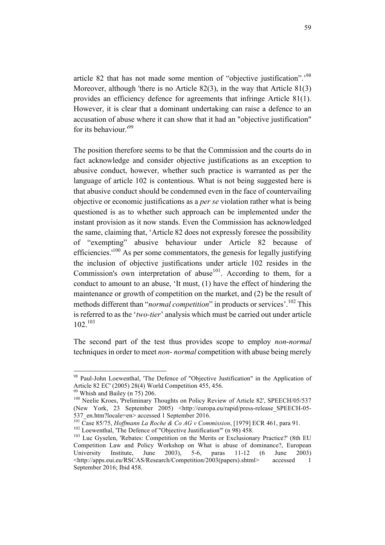article 82 that has not made some mention of "objective justification".'98 Moreover, although 'there is no Article 82(3), in the way that Article 81(3) provides an efficiency defence for agreements that infringe Article 81(1). However, it is clear that a dominant undertaking can raise a defence to an accusation of abuse where it can show that it had an "objective justification" for its behaviour.'<sup>99</sup>

The position therefore seems to be that the Commission and the courts do in fact acknowledge and consider objective justifications as an exception to abusive conduct, however, whether such practice is warranted as per the language of article 102 is contentious. What is not being suggested here is that abusive conduct should be condemned even in the face of countervailing objective or economic justifications as a *per se* violation rather what is being questioned is as to whether such approach can be implemented under the instant provision as it now stands. Even the Commission has acknowledged the same, claiming that, 'Article 82 does not expressly foresee the possibility of "exempting" abusive behaviour under Article 82 because of efficiencies.' $100$  As per some commentators, the genesis for legally justifying the inclusion of objective justifications under article 102 resides in the Commission's own interpretation of abuse<sup>101</sup>. According to them, for a conduct to amount to an abuse, 'It must, (1) have the effect of hindering the maintenance or growth of competition on the market, and (2) be the result of methods different than "*normal competition*" in products or services'.<sup>102</sup> This is referred to as the '*two-tier*' analysis which must be carried out under article 102.<sup>103</sup>

The second part of the test thus provides scope to employ *non-normal* techniques in order to meet *non- normal* competition with abuse being merely

<sup>&</sup>lt;sup>98</sup> Paul-John Loewenthal, 'The Defence of "Objective Justification" in the Application of Article 82 EC' (2005) 28(4) World Competition 455, 456.

<sup>&</sup>lt;sup>99</sup> Whish and Bailey (n 75) 206.<br><sup>100</sup> Neelie Kroes, 'Preliminary Thoughts on Policy Review of Article 82', SPEECH/05/537 (New York, 23 September 2005) <http://europa.eu/rapid/press-release\_SPEECH-05-

<sup>537</sup>\_en.htm?locale=en> accessed 1 September 2016.<br>
<sup>101</sup> Case 85/75, *Hoffmann La Roche & Co AG v Commission*, [1979] ECR 461, para 91.<br>
<sup>102</sup> Loewenthal, 'The Defence of "Objective Justification"' (n 98) 458.<br>
<sup>103</sup> Luc G

Competition Law and Policy Workshop on What is abuse of dominance?, European University Institute, June 2003), 5-6, paras 11-12 (6 June 2003) <http://apps.eui.eu/RSCAS/Research/Competition/2003(papers).shtml> accessed 1 September 2016; Ibid 458.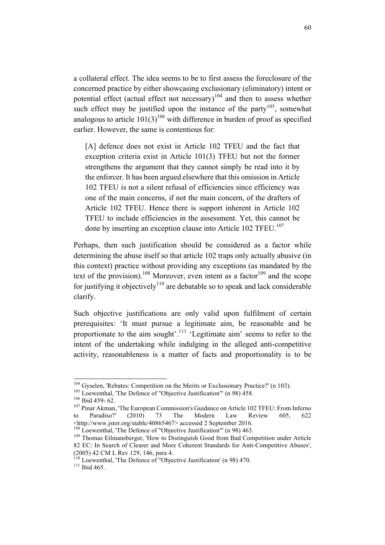a collateral effect. The idea seems to be to first assess the foreclosure of the concerned practice by either showcasing exclusionary (eliminatory) intent or potential effect (actual effect not necessary)<sup>104</sup> and then to assess whether such effect may be justified upon the instance of the party<sup>105</sup>, somewhat analogous to article  $101(3)^{106}$  with difference in burden of proof as specified earlier. However, the same is contentious for:

[A] defence does not exist in Article 102 TFEU and the fact that exception criteria exist in Article 101(3) TFEU but not the former strengthens the argument that they cannot simply be read into it by the enforcer. It has been argued elsewhere that this omission in Article 102 TFEU is not a silent refusal of efficiencies since efficiency was one of the main concerns, if not the main concern, of the drafters of Article 102 TFEU. Hence there is support inherent in Article 102 TFEU to include efficiencies in the assessment. Yet, this cannot be done by inserting an exception clause into Article 102 TFEU.<sup>107</sup>

Perhaps, then such justification should be considered as a factor while determining the abuse itself so that article 102 traps only actually abusive (in this context) practice without providing any exceptions (as mandated by the text of the provision).<sup>108</sup> Moreover, even intent as a factor<sup>109</sup> and the scope for justifying it objectively<sup>110</sup> are debatable so to speak and lack considerable clarify.

Such objective justifications are only valid upon fulfilment of certain prerequisites: 'It must pursue a legitimate aim, be reasonable and be proportionate to the aim sought'.<sup>111</sup> 'Legitimate aim' seems to refer to the intent of the undertaking while indulging in the alleged anti-competitive activity, reasonableness is a matter of facts and proportionality is to be

<sup>&</sup>lt;sup>104</sup> Gyselen, 'Rebates: Competition on the Merits or Exclusionary Practice?' (n 103).<br><sup>105</sup> Loewenthal, 'The Defence of "Objective Justification"' (n 98) 458.<br><sup>106</sup> Ibid 459- 62.<br><sup>107</sup> Pinar Akman, 'The European Commissi to Paradiso?' (2010) 73 The Modern Law Review 605, 622 <http://www.jstor.org/stable/40865467> accessed 2 September 2016.

 $109$  Thomas Eilmansberger, 'How to Distinguish Good from Bad Competition under Article 82 EC: In Search of Clearer and More Coherent Standards for Anti-Competitive Abuses', (2005) 42 CM L Rev 129, 146, para 4.<br><sup>110</sup> Loewenthal, 'The Defence of "Objective Justification' (n 98) 470.<br><sup>111</sup> Ibid 465.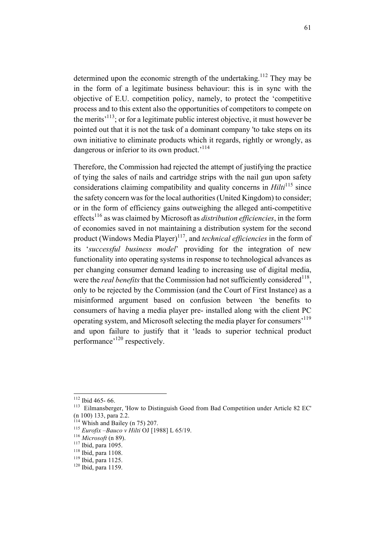determined upon the economic strength of the undertaking.<sup>112</sup> They may be in the form of a legitimate business behaviour: this is in sync with the objective of E.U. competition policy, namely, to protect the 'competitive process and to this extent also the opportunities of competitors to compete on the merits<sup> $113$ </sup>; or for a legitimate public interest objective, it must however be pointed out that it is not the task of a dominant company 'to take steps on its own initiative to eliminate products which it regards, rightly or wrongly, as dangerous or inferior to its own product.<sup>'114</sup>

Therefore, the Commission had rejected the attempt of justifying the practice of tying the sales of nails and cartridge strips with the nail gun upon safety considerations claiming compatibility and quality concerns in *Hilti*<sup>115</sup> since the safety concern was for the local authorities (United Kingdom) to consider; or in the form of efficiency gains outweighing the alleged anti-competitive effects116 as was claimed by Microsoft as *distribution efficiencies*, in the form of economies saved in not maintaining a distribution system for the second product (Windows Media Player)<sup>117</sup>, and *technical efficiencies* in the form of its '*successful business model*' providing for the integration of new functionality into operating systems in response to technological advances as per changing consumer demand leading to increasing use of digital media, were the *real benefits* that the Commission had not sufficiently considered<sup>118</sup>. only to be rejected by the Commission (and the Court of First Instance) as a misinformed argument based on confusion between *'*the benefits to consumers of having a media player pre- installed along with the client PC operating system, and Microsoft selecting the media player for consumers'119 and upon failure to justify that it 'leads to superior technical product performance'120 respectively.

<sup>&</sup>lt;sup>112</sup> Ibid 465- 66.<br><sup>113</sup> Eilmansberger, 'How to Distinguish Good from Bad Competition under Article 82 EC' (n 100) 133, para 2.2.<br>
<sup>114</sup> Whish and Bailey (n 75) 207.<br>
<sup>115</sup> *Eurofix –Bauco v Hilti* OJ [1988] L 65/19.<br>
<sup>116</sup> *Microsoft* (n 89).<br>
<sup>117</sup> Ibid, para 1095.<br>
<sup>118</sup> Ibid, para 1108.<br>
<sup>119</sup> Ibid, para 1125.<br>
<sup>120</sup> Ibid,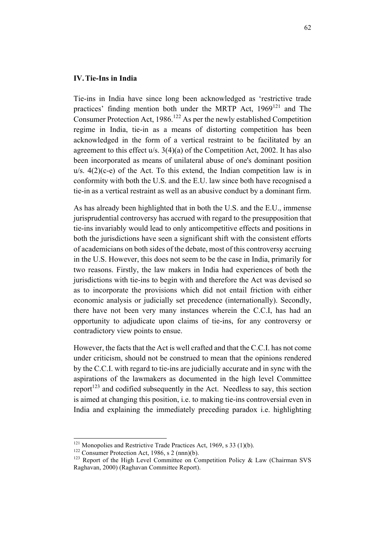### **IV.Tie-Ins in India**

Tie-ins in India have since long been acknowledged as 'restrictive trade practices' finding mention both under the MRTP Act,  $1969^{121}$  and The Consumer Protection Act,  $1986$ <sup>122</sup> As per the newly established Competition regime in India, tie-in as a means of distorting competition has been acknowledged in the form of a vertical restraint to be facilitated by an agreement to this effect u/s. 3(4)(a) of the Competition Act, 2002. It has also been incorporated as means of unilateral abuse of one's dominant position  $u/s$ .  $4(2)(c-e)$  of the Act. To this extend, the Indian competition law is in conformity with both the U.S. and the E.U. law since both have recognised a tie-in as a vertical restraint as well as an abusive conduct by a dominant firm.

As has already been highlighted that in both the U.S. and the E.U., immense jurisprudential controversy has accrued with regard to the presupposition that tie-ins invariably would lead to only anticompetitive effects and positions in both the jurisdictions have seen a significant shift with the consistent efforts of academicians on both sides of the debate, most of this controversy accruing in the U.S. However, this does not seem to be the case in India, primarily for two reasons. Firstly, the law makers in India had experiences of both the jurisdictions with tie-ins to begin with and therefore the Act was devised so as to incorporate the provisions which did not entail friction with either economic analysis or judicially set precedence (internationally). Secondly, there have not been very many instances wherein the C.C.I, has had an opportunity to adjudicate upon claims of tie-ins, for any controversy or contradictory view points to ensue.

However, the facts that the Act is well crafted and that the C.C.I. has not come under criticism, should not be construed to mean that the opinions rendered by the C.C.I. with regard to tie-ins are judicially accurate and in sync with the aspirations of the lawmakers as documented in the high level Committee report<sup> $123$ </sup> and codified subsequently in the Act. Needless to say, this section is aimed at changing this position, i.e. to making tie-ins controversial even in India and explaining the immediately preceding paradox i.e. highlighting

<sup>&</sup>lt;sup>121</sup> Monopolies and Restrictive Trade Practices Act, 1969, s 33 (1)(b).<br><sup>122</sup> Consumer Protection Act, 1986, s 2 (nnn)(b).<br><sup>123</sup> Report of the High Level Committee on Competition Policy & Law (Chairman SVS) Raghavan, 2000) (Raghavan Committee Report).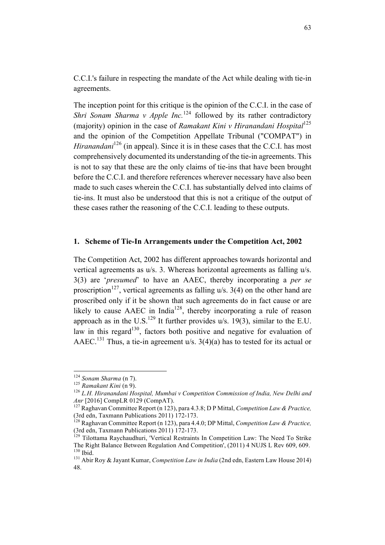C.C.I.'s failure in respecting the mandate of the Act while dealing with tie-in agreements.

The inception point for this critique is the opinion of the C.C.I. in the case of *Shri Sonam Sharma v Apple Inc.*<sup>124</sup> followed by its rather contradictory (majority) opinion in the case of *Ramakant Kini v Hiranandani Hospital*<sup>125</sup> and the opinion of the Competition Appellate Tribunal ("COMPAT") in *Hiranandani*<sup>126</sup> (in appeal). Since it is in these cases that the C.C.I. has most comprehensively documented its understanding of the tie-in agreements. This is not to say that these are the only claims of tie-ins that have been brought before the C.C.I. and therefore references wherever necessary have also been made to such cases wherein the C.C.I. has substantially delved into claims of tie-ins. It must also be understood that this is not a critique of the output of these cases rather the reasoning of the C.C.I. leading to these outputs.

#### **1. Scheme of Tie-In Arrangements under the Competition Act, 2002**

The Competition Act, 2002 has different approaches towards horizontal and vertical agreements as u/s. 3. Whereas horizontal agreements as falling u/s. 3(3) are '*presumed*' to have an AAEC, thereby incorporating a *per se*  proscription<sup>127</sup>, vertical agreements as falling  $u/s$ . 3(4) on the other hand are proscribed only if it be shown that such agreements do in fact cause or are likely to cause  $AAEC$  in India<sup>128</sup>, thereby incorporating a rule of reason approach as in the U.S.<sup>129</sup> It further provides u/s. 19(3), similar to the E.U. law in this regard<sup>130</sup>, factors both positive and negative for evaluation of AAEC.<sup>131</sup> Thus, a tie-in agreement u/s.  $3(4)(a)$  has to tested for its actual or

<sup>&</sup>lt;sup>124</sup> *Sonam Sharma* (n 7).<br><sup>125</sup> *Ramakant Kini* (n 9).<br><sup>126</sup> *L.H. Hiranandani Hospital, Mumbai v Competition Commission of India, New Delhi and Anr* [2016] CompLR 0129 (CompAT).

<sup>&</sup>lt;sup>127</sup> Raghavan Committee Report (n 123), para 4.3.8; D P Mittal, *Competition Law & Practice*,

<sup>(3</sup>rd edn, Taxmann Publications 2011) 172-173.<br><sup>128</sup> Raghavan Committee Report (n 123), para 4.4.0; DP Mittal, *Competition Law & Practice*,<br>(3rd edn. Taxmann Publications 2011) 172-173.

<sup>&</sup>lt;sup>129</sup> Tilottama Ravchaudhuri, 'Vertical Restraints In Competition Law: The Need To Strike The Right Balance Between Regulation And Competition', (2011) 4 NUJS L Rev 609, 609.

<sup>&</sup>lt;sup>131</sup> Abir Roy & Jayant Kumar, *Competition Law in India* (2nd edn, Eastern Law House 2014) 48.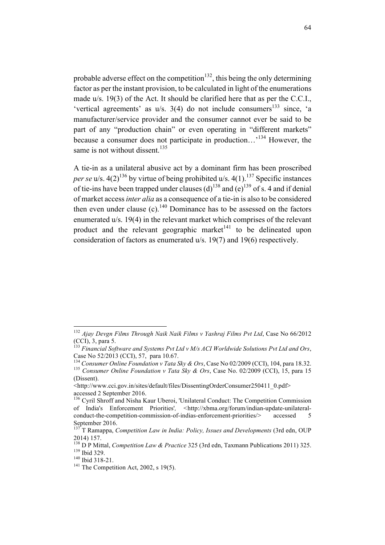probable adverse effect on the competition<sup>132</sup>, this being the only determining factor as per the instant provision, to be calculated in light of the enumerations made u/s. 19(3) of the Act. It should be clarified here that as per the C.C.I., 'vertical agreements' as  $u/s$ . 3(4) do not include consumers<sup>133</sup> since, 'a manufacturer/service provider and the consumer cannot ever be said to be part of any "production chain" or even operating in "different markets" because a consumer does not participate in production...<sup>134</sup> However, the same is not without dissent.<sup>135</sup>

A tie-in as a unilateral abusive act by a dominant firm has been proscribed *per se* u/s.  $4(2)^{136}$  by virtue of being prohibited u/s.  $4(1)^{137}$  Specific instances of tie-ins have been trapped under clauses (d)<sup>138</sup> and (e)<sup>139</sup> of s. 4 and if denial of market access *inter alia* as a consequence of a tie-in is also to be considered then even under clause  $(c)$ .<sup>140</sup> Dominance has to be assessed on the factors enumerated u/s. 19(4) in the relevant market which comprises of the relevant product and the relevant geographic market $141$  to be delineated upon consideration of factors as enumerated u/s. 19(7) and 19(6) respectively.

 <sup>132</sup> *Ajay Devgn Films Through Naik Naik Films v Yashraj Films Pvt Ltd*, Case No 66/2012

<sup>&</sup>lt;sup>133</sup> Financial Software and Systems Pvt Ltd v M/s ACI Worldwide Solutions Pvt Ltd and Ors, Case No 52/2013 (CCI), 57, para 10.67.<br><sup>134</sup> Consumer Online Foundation v Tata Sky & Ors, Case No 02/2009 (CCI), 104, para 18.32.

<sup>&</sup>lt;sup>135</sup> Consumer Online Foundation v Tata Sky & Ors, Case No. 02/2009 (CCI), 15, para 15 (Dissent).

<sup>&</sup>lt;http://www.cci.gov.in/sites/default/files/DissentingOrderConsumer250411\_0.pdf> accessed 2 September 2016.<br><sup>136</sup> Cyril Shroff and Nisha Kaur Uberoi, 'Unilateral Conduct: The Competition Commission

of India's Enforcement Priorities'*, <*http://xbma.org/forum/indian-update-unilateralconduct-the-competition-commission-of-indias-enforcement-priorities/> accessed 5 September 2016.

<sup>137</sup> T Ramappa, *Competition Law in India: Policy, Issues and Developments* (3rd edn, OUP 2014) 157.

<sup>&</sup>lt;sup>138</sup> D P Mittal, *Competition Law & Practice* 325 (3rd edn, Taxmann Publications 2011) 325.<br><sup>139</sup> Ibid 329.<br><sup>140</sup> Ibid 318-21.<br><sup>141</sup> The Competition Act, 2002, s 19(5).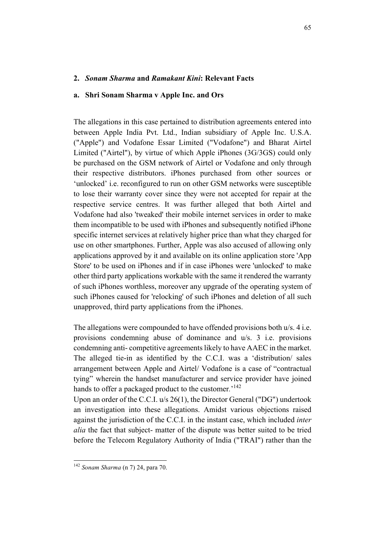### **2.** *Sonam Sharma* **and** *Ramakant Kini***: Relevant Facts**

### **a. Shri Sonam Sharma v Apple Inc. and Ors**

The allegations in this case pertained to distribution agreements entered into between Apple India Pvt. Ltd., Indian subsidiary of Apple Inc. U.S.A. ("Apple") and Vodafone Essar Limited ("Vodafone") and Bharat Airtel Limited ("Airtel"), by virtue of which Apple iPhones (3G/3GS) could only be purchased on the GSM network of Airtel or Vodafone and only through their respective distributors. iPhones purchased from other sources or 'unlocked' i.e. reconfigured to run on other GSM networks were susceptible to lose their warranty cover since they were not accepted for repair at the respective service centres. It was further alleged that both Airtel and Vodafone had also 'tweaked' their mobile internet services in order to make them incompatible to be used with iPhones and subsequently notified iPhone specific internet services at relatively higher price than what they charged for use on other smartphones. Further, Apple was also accused of allowing only applications approved by it and available on its online application store 'App Store' to be used on iPhones and if in case iPhones were 'unlocked' to make other third party applications workable with the same it rendered the warranty of such iPhones worthless, moreover any upgrade of the operating system of such iPhones caused for 'relocking' of such iPhones and deletion of all such unapproved, third party applications from the iPhones.

The allegations were compounded to have offended provisions both u/s. 4 i.e. provisions condemning abuse of dominance and u/s. 3 i.e. provisions condemning anti- competitive agreements likely to have AAEC in the market. The alleged tie-in as identified by the C.C.I. was a 'distribution/ sales arrangement between Apple and Airtel/ Vodafone is a case of "contractual tying" wherein the handset manufacturer and service provider have joined hands to offer a packaged product to the customer*.*' 142

Upon an order of the C.C.I. u/s 26(1), the Director General ("DG") undertook an investigation into these allegations. Amidst various objections raised against the jurisdiction of the C.C.I. in the instant case, which included *inter alia* the fact that subject- matter of the dispute was better suited to be tried before the Telecom Regulatory Authority of India ("TRAI") rather than the

 <sup>142</sup> *Sonam Sharma* (n 7) 24, para 70.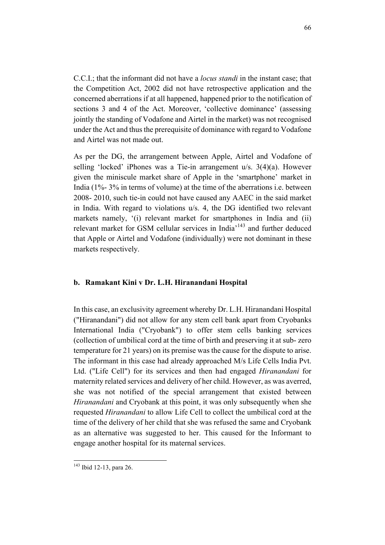C.C.I.; that the informant did not have a *locus standi* in the instant case; that the Competition Act, 2002 did not have retrospective application and the concerned aberrations if at all happened, happened prior to the notification of sections 3 and 4 of the Act. Moreover, 'collective dominance' (assessing jointly the standing of Vodafone and Airtel in the market) was not recognised under the Act and thus the prerequisite of dominance with regard to Vodafone and Airtel was not made out.

As per the DG, the arrangement between Apple, Airtel and Vodafone of selling 'locked' iPhones was a Tie-in arrangement u/s. 3(4)(a). However given the miniscule market share of Apple in the 'smartphone' market in India (1%- 3% in terms of volume) at the time of the aberrations i.e. between 2008- 2010, such tie-in could not have caused any AAEC in the said market in India. With regard to violations u/s. 4, the DG identified two relevant markets namely, '(i) relevant market for smartphones in India and (ii) relevant market for GSM cellular services in India<sup>143</sup> and further deduced that Apple or Airtel and Vodafone (individually) were not dominant in these markets respectively.

### **b. Ramakant Kini v Dr. L.H. Hiranandani Hospital**

In this case, an exclusivity agreement whereby Dr. L.H. Hiranandani Hospital ("Hiranandani") did not allow for any stem cell bank apart from Cryobanks International India ("Cryobank") to offer stem cells banking services (collection of umbilical cord at the time of birth and preserving it at sub- zero temperature for 21 years) on its premise was the cause for the dispute to arise. The informant in this case had already approached M/s Life Cells India Pvt. Ltd. ("Life Cell") for its services and then had engaged *Hiranandani* for maternity related services and delivery of her child. However, as was averred, she was not notified of the special arrangement that existed between *Hiranandani* and Cryobank at this point, it was only subsequently when she requested *Hiranandani* to allow Life Cell to collect the umbilical cord at the time of the delivery of her child that she was refused the same and Cryobank as an alternative was suggested to her. This caused for the Informant to engage another hospital for its maternal services.

 <sup>143</sup> Ibid 12-13, para 26.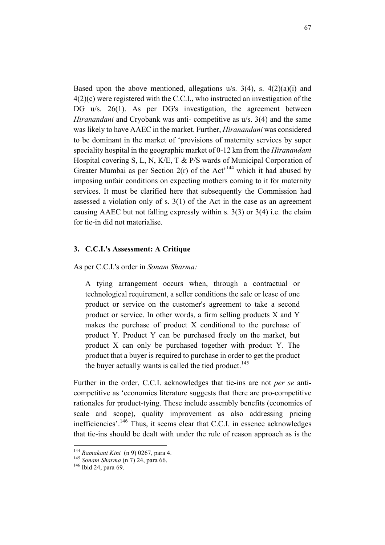Based upon the above mentioned, allegations  $u/s$ . 3(4), s. 4(2)(a)(i) and 4(2)(c) were registered with the C.C.I., who instructed an investigation of the DG u/s. 26(1). As per DG's investigation, the agreement between *Hiranandani* and Cryobank was anti-competitive as  $u/s$ . 3(4) and the same was likely to have AAEC in the market. Further, *Hiranandani* was considered to be dominant in the market of 'provisions of maternity services by super speciality hospital in the geographic market of 0-12 km from the *Hiranandani* Hospital covering S, L, N, K/E, T & P/S wards of Municipal Corporation of Greater Mumbai as per Section  $2(r)$  of the Act<sup>144</sup> which it had abused by imposing unfair conditions on expecting mothers coming to it for maternity services. It must be clarified here that subsequently the Commission had assessed a violation only of s. 3(1) of the Act in the case as an agreement causing AAEC but not falling expressly within s. 3(3) or 3(4) i.e. the claim for tie-in did not materialise.

### **3. C.C.I.'s Assessment: A Critique**

As per C.C.I.'s order in *Sonam Sharma:*

A tying arrangement occurs when, through a contractual or technological requirement, a seller conditions the sale or lease of one product or service on the customer's agreement to take a second product or service. In other words, a firm selling products X and Y makes the purchase of product X conditional to the purchase of product Y. Product Y can be purchased freely on the market, but product X can only be purchased together with product Y. The product that a buyer is required to purchase in order to get the product the buyer actually wants is called the tied product.<sup>145</sup>

Further in the order, C.C.I. acknowledges that tie-ins are not *per se* anticompetitive as 'economics literature suggests that there are pro-competitive rationales for product-tying. These include assembly benefits (economies of scale and scope), quality improvement as also addressing pricing inefficiencies'.146 Thus, it seems clear that C.C.I. in essence acknowledges that tie-ins should be dealt with under the rule of reason approach as is the

<sup>144</sup> *Ramakant Kini* (n 9) 0267, para 4. <sup>145</sup> *Sonam Sharma* (n 7) 24, para 66. <sup>146</sup> Ibid 24, para 69.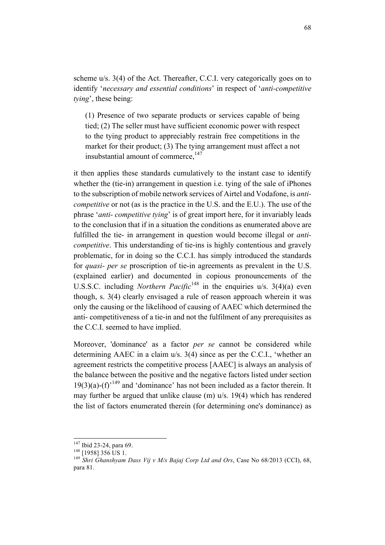scheme u/s. 3(4) of the Act. Thereafter, C.C.I. very categorically goes on to identify '*necessary and essential conditions*' in respect of '*anti-competitive tying*', these being:

(1) Presence of two separate products or services capable of being tied; (2) The seller must have sufficient economic power with respect to the tying product to appreciably restrain free competitions in the market for their product; (3) The tying arrangement must affect a not insubstantial amount of commerce. $147$ 

it then applies these standards cumulatively to the instant case to identify whether the (tie-in) arrangement in question i.e. tying of the sale of iPhones to the subscription of mobile network services of Airtel and Vodafone, is *anticompetitive* or not (as is the practice in the U.S. and the E.U.). The use of the phrase '*anti- competitive tying*' is of great import here, for it invariably leads to the conclusion that if in a situation the conditions as enumerated above are fulfilled the tie- in arrangement in question would become illegal or *anticompetitive*. This understanding of tie-ins is highly contentious and gravely problematic, for in doing so the C.C.I. has simply introduced the standards for *quasi- per se* proscription of tie-in agreements as prevalent in the U.S. (explained earlier) and documented in copious pronouncements of the U.S.S.C. including *Northern Pacific*<sup>148</sup> in the enquiries  $u/s$ . 3(4)(a) even though, s. 3(4) clearly envisaged a rule of reason approach wherein it was only the causing or the likelihood of causing of AAEC which determined the anti- competitiveness of a tie-in and not the fulfilment of any prerequisites as the C.C.I. seemed to have implied.

Moreover, 'dominance' as a factor *per se* cannot be considered while determining AAEC in a claim u/s. 3(4) since as per the C.C.I., 'whether an agreement restricts the competitive process [AAEC] is always an analysis of the balance between the positive and the negative factors listed under section  $19(3)(a)$ -(f)<sup>-149</sup> and 'dominance' has not been included as a factor therein. It may further be argued that unlike clause (m) u/s. 19(4) which has rendered the list of factors enumerated therein (for determining one's dominance) as

<sup>&</sup>lt;sup>147</sup> Ibid 23-24, para 69.<br><sup>148</sup> [1958] 356 US 1.<br><sup>149</sup> *Shri Ghanshyam Dass Vij v M/s Bajaj Corp Ltd and Ors*, Case No 68/2013 (CCI), 68, para 81.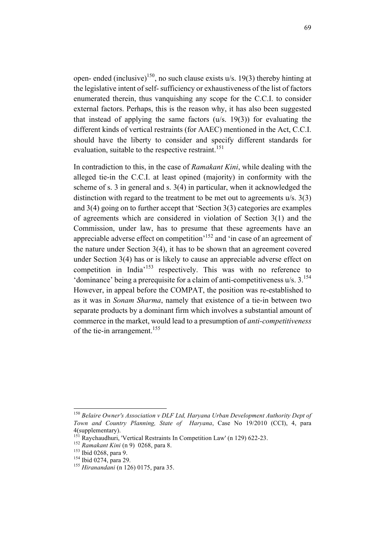open- ended (inclusive)<sup>150</sup>, no such clause exists  $u/s$ . 19(3) thereby hinting at the legislative intent of self-sufficiency or exhaustiveness of the list of factors enumerated therein, thus vanquishing any scope for the C.C.I. to consider external factors. Perhaps, this is the reason why, it has also been suggested that instead of applying the same factors (u/s. 19(3)) for evaluating the different kinds of vertical restraints (for AAEC) mentioned in the Act, C.C.I. should have the liberty to consider and specify different standards for evaluation, suitable to the respective restraint.<sup>151</sup>

In contradiction to this, in the case of *Ramakant Kini*, while dealing with the alleged tie-in the C.C.I. at least opined (majority) in conformity with the scheme of s. 3 in general and s. 3(4) in particular, when it acknowledged the distinction with regard to the treatment to be met out to agreements u/s. 3(3) and 3(4) going on to further accept that 'Section 3(3) categories are examples of agreements which are considered in violation of Section 3(1) and the Commission, under law, has to presume that these agreements have an appreciable adverse effect on competition'<sup>152</sup> and 'in case of an agreement of the nature under Section 3(4), it has to be shown that an agreement covered under Section 3(4) has or is likely to cause an appreciable adverse effect on competition in India<sup>153</sup> respectively. This was with no reference to 'dominance' being a prerequisite for a claim of anti-competitiveness  $u/s$ .  $3.154$ However, in appeal before the COMPAT, the position was re-established to as it was in *Sonam Sharma*, namely that existence of a tie-in between two separate products by a dominant firm which involves a substantial amount of commerce in the market, would lead to a presumption of *anti-competitiveness*  of the tie-in arrangement.<sup>155</sup>

 <sup>150</sup> *Belaire Owner's Association v DLF Ltd, Haryana Urban Development Authority Dept of Town and Country Planning, State of Haryana*, Case No 19/2010 (CCI), 4, para 4(supplementary).

<sup>151</sup> Raychaudhuri, 'Vertical Restraints In Competition Law' (n 129) 622-23.<br>
<sup>152</sup> *Ramakant Kini* (n 9) 0268, para 8.<br>
<sup>153</sup> Ibid 0268, para 9.<br>
<sup>154</sup> Ibid 0274, para 29.<br>
<sup>155</sup> *Hiranandani* (n 126) 0175, para 35.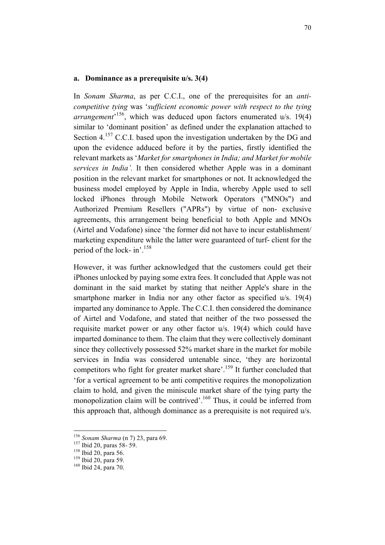### **a. Dominance as a prerequisite u/s. 3(4)**

In *Sonam Sharma*, as per C.C.I., one of the prerequisites for an *anticompetitive tying* was '*sufficient economic power with respect to the tying arrangement*' 156, which was deduced upon factors enumerated u/s. 19(4) similar to 'dominant position' as defined under the explanation attached to Section 4.<sup>157</sup> C.C.I. based upon the investigation undertaken by the DG and upon the evidence adduced before it by the parties, firstly identified the relevant markets as '*Market for smartphones in India; and Market for mobile services in India'.* It then considered whether Apple was in a dominant position in the relevant market for smartphones or not. It acknowledged the business model employed by Apple in India, whereby Apple used to sell locked iPhones through Mobile Network Operators ("MNOs") and Authorized Premium Resellers ("APRs") by virtue of non- exclusive agreements, this arrangement being beneficial to both Apple and MNOs (Airtel and Vodafone) since 'the former did not have to incur establishment/ marketing expenditure while the latter were guaranteed of turf- client for the period of the lock- in'.158

However, it was further acknowledged that the customers could get their iPhones unlocked by paying some extra fees. It concluded that Apple was not dominant in the said market by stating that neither Apple's share in the smartphone marker in India nor any other factor as specified u/s. 19(4) imparted any dominance to Apple. The C.C.I. then considered the dominance of Airtel and Vodafone, and stated that neither of the two possessed the requisite market power or any other factor u/s. 19(4) which could have imparted dominance to them. The claim that they were collectively dominant since they collectively possessed 52% market share in the market for mobile services in India was considered untenable since, 'they are horizontal competitors who fight for greater market share'.<sup>159</sup> It further concluded that 'for a vertical agreement to be anti competitive requires the monopolization claim to hold, and given the miniscule market share of the tying party the monopolization claim will be contrived'.<sup>160</sup> Thus, it could be inferred from this approach that, although dominance as a prerequisite is not required u/s.

<sup>&</sup>lt;sup>156</sup> *Sonam Sharma* (n 7) 23, para 69.<br><sup>157</sup> Ibid 20, paras 58- 59.<br><sup>158</sup> Ibid 20, para 56.<br><sup>159</sup> Ibid 20, para 59.<br><sup>160</sup> Ibid 24, para 70.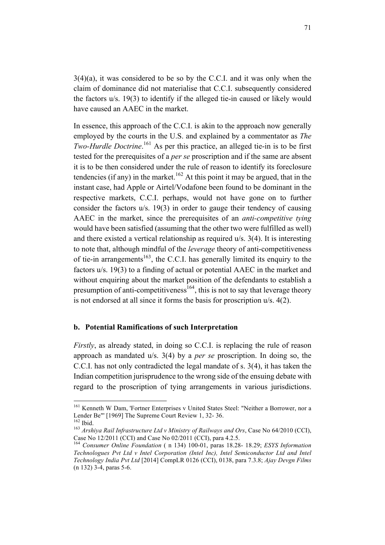3(4)(a), it was considered to be so by the C.C.I. and it was only when the claim of dominance did not materialise that C.C.I. subsequently considered the factors u/s. 19(3) to identify if the alleged tie-in caused or likely would have caused an AAEC in the market.

In essence, this approach of the C.C.I. is akin to the approach now generally employed by the courts in the U.S. and explained by a commentator as *The Two-Hurdle Doctrine*. <sup>161</sup> As per this practice, an alleged tie-in is to be first tested for the prerequisites of a *per se* proscription and if the same are absent it is to be then considered under the rule of reason to identify its foreclosure tendencies (if any) in the market.<sup>162</sup> At this point it may be argued, that in the instant case, had Apple or Airtel/Vodafone been found to be dominant in the respective markets, C.C.I. perhaps, would not have gone on to further consider the factors u/s. 19(3) in order to gauge their tendency of causing AAEC in the market, since the prerequisites of an *anti-competitive tying* would have been satisfied (assuming that the other two were fulfilled as well) and there existed a vertical relationship as required u/s. 3(4). It is interesting to note that, although mindful of the *leverage* theory of anti-competitiveness of tie-in arrangements<sup>163</sup>, the C.C.I. has generally limited its enquiry to the factors u/s. 19(3) to a finding of actual or potential AAEC in the market and without enquiring about the market position of the defendants to establish a presumption of anti-competitiveness<sup>164</sup>, this is not to say that leverage theory is not endorsed at all since it forms the basis for proscription u/s. 4(2).

#### **b. Potential Ramifications of such Interpretation**

*Firstly*, as already stated, in doing so C.C.I. is replacing the rule of reason approach as mandated u/s. 3(4) by a *per se* proscription. In doing so, the C.C.I. has not only contradicted the legal mandate of s. 3(4), it has taken the Indian competition jurisprudence to the wrong side of the ensuing debate with regard to the proscription of tying arrangements in various jurisdictions.

<sup>&</sup>lt;sup>161</sup> Kenneth W Dam, 'Fortner Enterprises v United States Steel: "Neither a Borrower, nor a Lender Be''' [1969] The Supreme Court Review 1, 32- 36.<br><sup>162</sup> Ibid. <sup>163</sup> *Arshiva Rail Infrastructure Ltd v Ministry of Railways and Ors*, Case No 64/2010 (CCI),

Case No 12/2011 (CCI) and Case No 02/2011 (CCI), para 4.2.5.

<sup>164</sup> *Consumer Online Foundation* ( n 134) 100-01, paras 18.28- 18.29; *ESYS Information Technologues Pvt Ltd v Intel Corporation (Intel Inc), Intel Semiconductor Ltd and Intel Technology India Pvt Ltd* [2014] CompLR 0126 (CCI), 0138, para 7.3.8; *Ajay Devgn Films*  (n 132) 3-4, paras 5-6.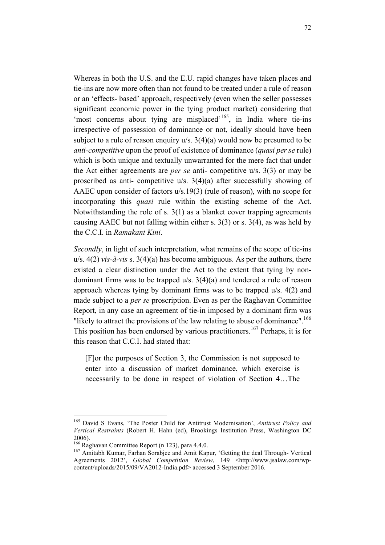Whereas in both the U.S. and the E.U. rapid changes have taken places and tie-ins are now more often than not found to be treated under a rule of reason or an 'effects- based' approach, respectively (even when the seller possesses significant economic power in the tying product market) considering that 'most concerns about tying are misplaced'<sup>165</sup>, in India where tie-ins irrespective of possession of dominance or not, ideally should have been subject to a rule of reason enquiry u/s. 3(4)(a) would now be presumed to be *anti-competitive* upon the proof of existence of dominance (*quasi per se* rule) which is both unique and textually unwarranted for the mere fact that under the Act either agreements are *per se* anti- competitive u/s. 3(3) or may be proscribed as anti- competitive u/s. 3(4)(a) after successfully showing of AAEC upon consider of factors u/s.19(3) (rule of reason), with no scope for incorporating this *quasi* rule within the existing scheme of the Act. Notwithstanding the role of s. 3(1) as a blanket cover trapping agreements causing AAEC but not falling within either s. 3(3) or s. 3(4), as was held by the C.C.I. in *Ramakant Kini*.

*Secondly*, in light of such interpretation, what remains of the scope of tie-ins u/s. 4(2) *vis-à-vis* s. 3(4)(a) has become ambiguous. As per the authors, there existed a clear distinction under the Act to the extent that tying by nondominant firms was to be trapped u/s. 3(4)(a) and tendered a rule of reason approach whereas tying by dominant firms was to be trapped u/s. 4(2) and made subject to a *per se* proscription. Even as per the Raghavan Committee Report, in any case an agreement of tie-in imposed by a dominant firm was "likely to attract the provisions of the law relating to abuse of dominance".<sup>166</sup> This position has been endorsed by various practitioners.<sup>167</sup> Perhaps, it is for this reason that C.C.I. had stated that:

[F]or the purposes of Section 3, the Commission is not supposed to enter into a discussion of market dominance, which exercise is necessarily to be done in respect of violation of Section 4…The

 <sup>165</sup> David S Evans, 'The Poster Child for Antitrust Modernisation', *Antitrust Policy and Vertical Restraints* (Robert H. Hahn (ed), Brookings Institution Press, Washington DC 2006).<br><sup>166</sup> Raghavan Committee Report (n 123), para 4.4.0.

<sup>&</sup>lt;sup>167</sup> Amitabh Kumar, Farhan Sorabjee and Amit Kapur, 'Getting the deal Through- Vertical Agreements 2012', *Global Competition Review*, 149 <http://www.jsalaw.com/wpcontent/uploads/2015/09/VA2012-India.pdf> accessed 3 September 2016.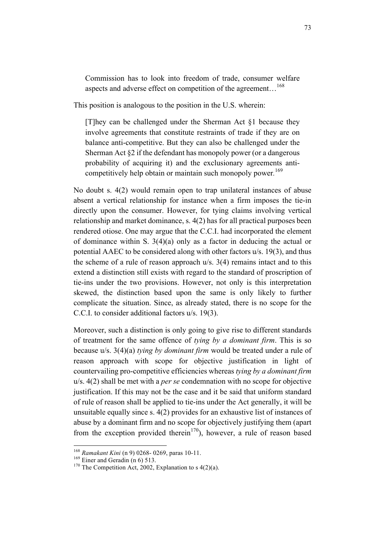Commission has to look into freedom of trade, consumer welfare aspects and adverse effect on competition of the agreement...<sup>168</sup>

This position is analogous to the position in the U.S. wherein:

[T]hey can be challenged under the Sherman Act §1 because they involve agreements that constitute restraints of trade if they are on balance anti-competitive. But they can also be challenged under the Sherman Act §2 if the defendant has monopoly power (or a dangerous probability of acquiring it) and the exclusionary agreements anticompetitively help obtain or maintain such monopoly power*.* 169

No doubt s. 4(2) would remain open to trap unilateral instances of abuse absent a vertical relationship for instance when a firm imposes the tie-in directly upon the consumer. However, for tying claims involving vertical relationship and market dominance, s. 4(2) has for all practical purposes been rendered otiose. One may argue that the C.C.I. had incorporated the element of dominance within S. 3(4)(a) only as a factor in deducing the actual or potential AAEC to be considered along with other factors u/s. 19(3), and thus the scheme of a rule of reason approach u/s. 3(4) remains intact and to this extend a distinction still exists with regard to the standard of proscription of tie-ins under the two provisions. However, not only is this interpretation skewed, the distinction based upon the same is only likely to further complicate the situation. Since, as already stated, there is no scope for the C.C.I. to consider additional factors u/s. 19(3).

Moreover, such a distinction is only going to give rise to different standards of treatment for the same offence of *tying by a dominant firm*. This is so because u/s. 3(4)(a) *tying by dominant firm* would be treated under a rule of reason approach with scope for objective justification in light of countervailing pro-competitive efficiencies whereas *tying by a dominant firm* u/s. 4(2) shall be met with a *per se* condemnation with no scope for objective justification. If this may not be the case and it be said that uniform standard of rule of reason shall be applied to tie-ins under the Act generally, it will be unsuitable equally since s. 4(2) provides for an exhaustive list of instances of abuse by a dominant firm and no scope for objectively justifying them (apart from the exception provided therein<sup>170</sup>), however, a rule of reason based

<sup>&</sup>lt;sup>168</sup> *Ramakant Kini* (n 9) 0268- 0269, paras 10-11.<br><sup>169</sup> Einer and Geradin (n 6) 513.<br><sup>170</sup> The Competition Act, 2002, Explanation to s 4(2)(a).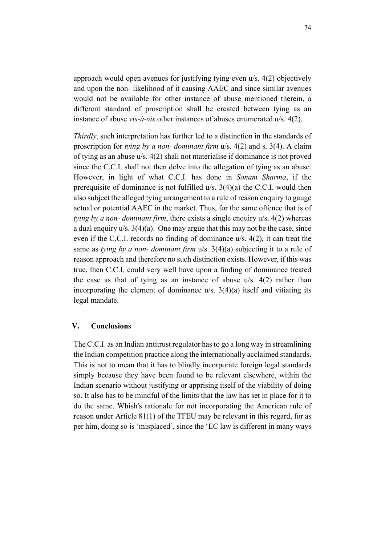approach would open avenues for justifying tying even u/s. 4(2) objectively and upon the non- likelihood of it causing AAEC and since similar avenues would not be available for other instance of abuse mentioned therein, a different standard of proscription shall be created between tying as an instance of abuse *vis-à-vis* other instances of abuses enumerated u/s. 4(2).

*Thirdly*, such interpretation has further led to a distinction in the standards of proscription for *tying by a non- dominant firm* u/s. 4(2) and s. 3(4). A claim of tying as an abuse u/s. 4(2) shall not materialise if dominance is not proved since the C.C.I. shall not then delve into the allegation of tying as an abuse. However, in light of what C.C.I. has done in *Sonam Sharma*, if the prerequisite of dominance is not fulfilled u/s. 3(4)(a) the C.C.I. would then also subject the alleged tying arrangement to a rule of reason enquiry to gauge actual or potential AAEC in the market. Thus, for the same offence that is of *tying by a non- dominant firm*, there exists a single enquiry u/s. 4(2) whereas a dual enquiry  $u/s$ .  $3(4)(a)$ . One may argue that this may not be the case, since even if the C.C.I. records no finding of dominance u/s. 4(2), it can treat the same as *tying by a non- dominant firm* u/s. 3(4)(a) subjecting it to a rule of reason approach and therefore no such distinction exists. However, if this was true, then C.C.I. could very well have upon a finding of dominance treated the case as that of tying as an instance of abuse u/s. 4(2) rather than incorporating the element of dominance  $u/s$ .  $3(4)(a)$  itself and vitiating its legal mandate.

# **V. Conclusions**

The C.C.I. as an Indian antitrust regulator has to go a long way in streamlining the Indian competition practice along the internationally acclaimed standards. This is not to mean that it has to blindly incorporate foreign legal standards simply because they have been found to be relevant elsewhere, within the Indian scenario without justifying or apprising itself of the viability of doing so. It also has to be mindful of the limits that the law has set in place for it to do the same. Whish's rationale for not incorporating the American rule of reason under Article 81(1) of the TFEU may be relevant in this regard, for as per him, doing so is 'misplaced', since the 'EC law is different in many ways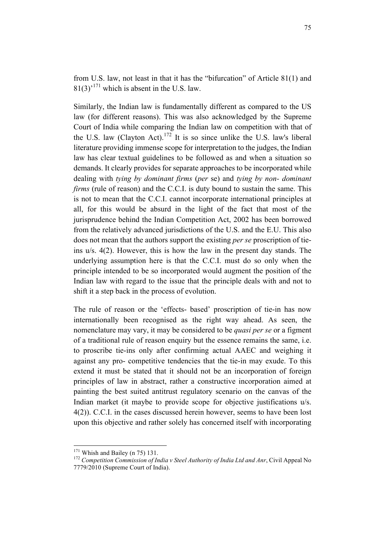from U.S. law, not least in that it has the "bifurcation" of Article 81(1) and  $81(3)^{171}$  which is absent in the U.S. law.

Similarly, the Indian law is fundamentally different as compared to the US law (for different reasons). This was also acknowledged by the Supreme Court of India while comparing the Indian law on competition with that of the U.S. law (Clayton Act).<sup>172</sup> It is so since unlike the U.S. law's liberal literature providing immense scope for interpretation to the judges, the Indian law has clear textual guidelines to be followed as and when a situation so demands. It clearly provides for separate approaches to be incorporated while dealing with *tying by dominant firms* (*per* se) and *tying by non- dominant firms* (rule of reason) and the C.C.I. is duty bound to sustain the same. This is not to mean that the C.C.I. cannot incorporate international principles at all, for this would be absurd in the light of the fact that most of the jurisprudence behind the Indian Competition Act, 2002 has been borrowed from the relatively advanced jurisdictions of the U.S. and the E.U. This also does not mean that the authors support the existing *per se* proscription of tieins u/s. 4(2). However, this is how the law in the present day stands. The underlying assumption here is that the C.C.I. must do so only when the principle intended to be so incorporated would augment the position of the Indian law with regard to the issue that the principle deals with and not to shift it a step back in the process of evolution.

The rule of reason or the 'effects- based' proscription of tie-in has now internationally been recognised as the right way ahead. As seen, the nomenclature may vary, it may be considered to be *quasi per se* or a figment of a traditional rule of reason enquiry but the essence remains the same, i.e. to proscribe tie-ins only after confirming actual AAEC and weighing it against any pro- competitive tendencies that the tie-in may exude. To this extend it must be stated that it should not be an incorporation of foreign principles of law in abstract, rather a constructive incorporation aimed at painting the best suited antitrust regulatory scenario on the canvas of the Indian market (it maybe to provide scope for objective justifications u/s. 4(2)). C.C.I. in the cases discussed herein however, seems to have been lost upon this objective and rather solely has concerned itself with incorporating

<sup>&</sup>lt;sup>171</sup> Whish and Bailey (n 75) 131.<br><sup>172</sup> *Competition Commission of India v Steel Authority of India Ltd and Anr*, Civil Appeal No 7779/2010 (Supreme Court of India).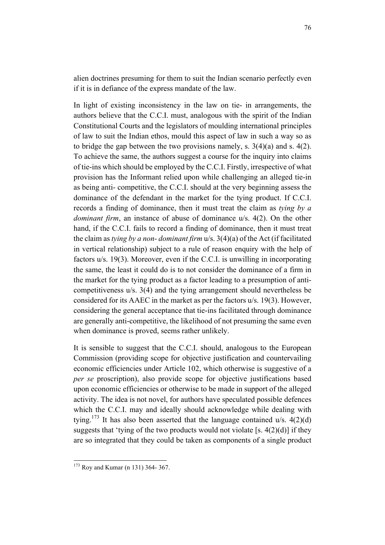alien doctrines presuming for them to suit the Indian scenario perfectly even if it is in defiance of the express mandate of the law.

In light of existing inconsistency in the law on tie- in arrangements, the authors believe that the C.C.I. must, analogous with the spirit of the Indian Constitutional Courts and the legislators of moulding international principles of law to suit the Indian ethos, mould this aspect of law in such a way so as to bridge the gap between the two provisions namely, s.  $3(4)(a)$  and s.  $4(2)$ . To achieve the same, the authors suggest a course for the inquiry into claims of tie-ins which should be employed by the C.C.I. Firstly, irrespective of what provision has the Informant relied upon while challenging an alleged tie-in as being anti- competitive, the C.C.I. should at the very beginning assess the dominance of the defendant in the market for the tying product. If C.C.I. records a finding of dominance, then it must treat the claim as *tying by a dominant firm*, an instance of abuse of dominance u/s. 4(2). On the other hand, if the C.C.I. fails to record a finding of dominance, then it must treat the claim as *tying by a non- dominant firm* u/s. 3(4)(a) of the Act (if facilitated in vertical relationship) subject to a rule of reason enquiry with the help of factors u/s. 19(3). Moreover, even if the C.C.I. is unwilling in incorporating the same, the least it could do is to not consider the dominance of a firm in the market for the tying product as a factor leading to a presumption of anticompetitiveness u/s. 3(4) and the tying arrangement should nevertheless be considered for its AAEC in the market as per the factors u/s. 19(3). However, considering the general acceptance that tie-ins facilitated through dominance are generally anti-competitive, the likelihood of not presuming the same even when dominance is proved, seems rather unlikely.

It is sensible to suggest that the C.C.I. should, analogous to the European Commission (providing scope for objective justification and countervailing economic efficiencies under Article 102, which otherwise is suggestive of a *per se* proscription), also provide scope for objective justifications based upon economic efficiencies or otherwise to be made in support of the alleged activity. The idea is not novel, for authors have speculated possible defences which the C.C.I. may and ideally should acknowledge while dealing with tying.<sup>173</sup> It has also been asserted that the language contained u/s.  $4(2)(d)$ suggests that 'tying of the two products would not violate [s. 4(2)(d)] if they are so integrated that they could be taken as components of a single product

 <sup>173</sup> Roy and Kumar (n 131) 364- 367.